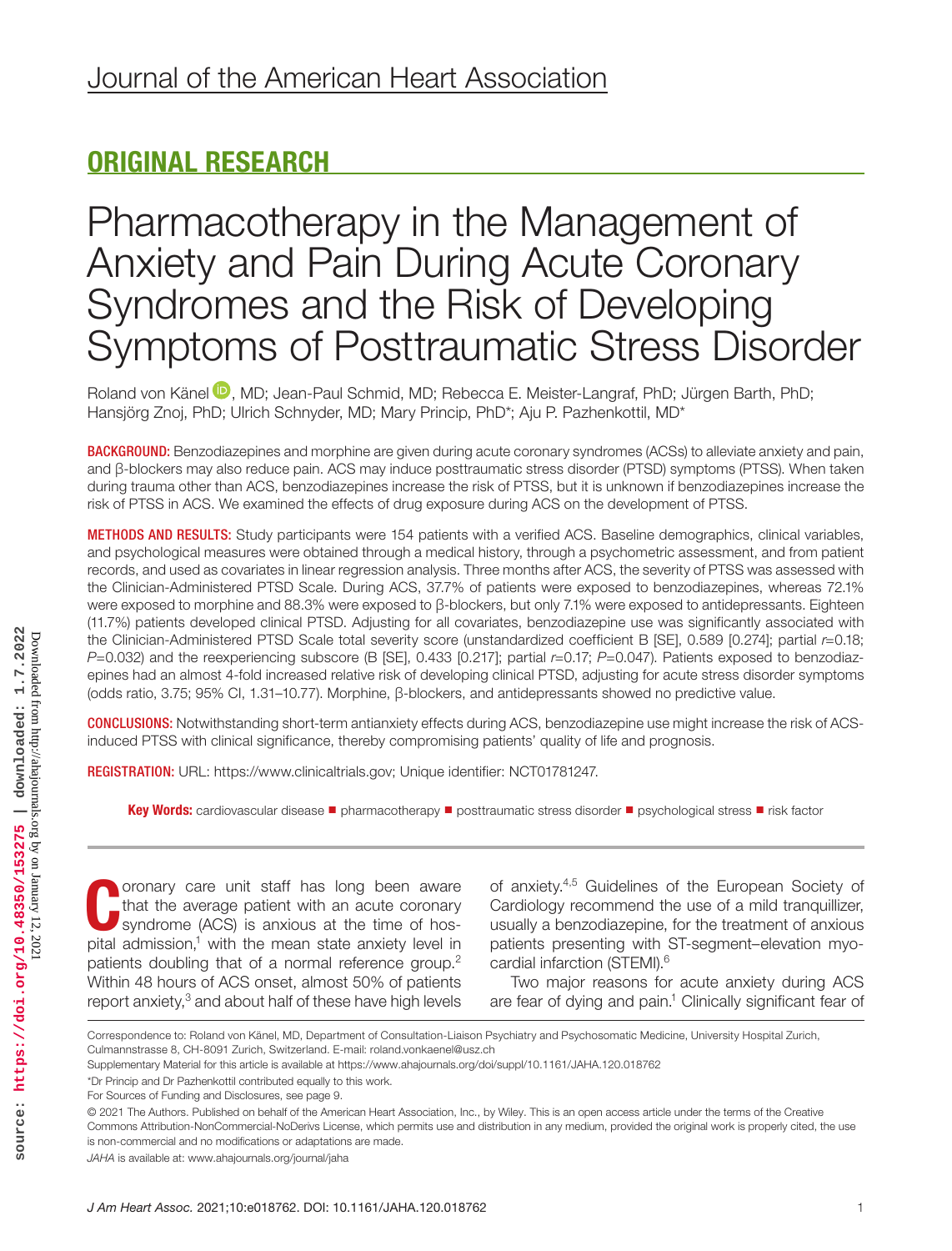## ORIGINAL RESEARCH

# Pharmacotherapy in the Management of Anxiety and Pain During Acute Coronary Syndromes and the Risk of Developing Symptoms of Posttraumatic Stress Disorder

Roland von Känel D[,](https://orcid.org/0000-0002-8929-5129) MD; Jean-Paul Schmid, MD; Rebecca E. Meister-Langraf, PhD; Jürgen Barth, PhD; Hansjörg Znoj, PhD; Ulrich Schnyder, MD; Mary Princip, PhD\*; Aju P. Pazhenkottil, MD\*

BACKGROUND: Benzodiazepines and morphine are given during acute coronary syndromes (ACSs) to alleviate anxiety and pain, and β-blockers may also reduce pain. ACS may induce posttraumatic stress disorder (PTSD) symptoms (PTSS). When taken during trauma other than ACS, benzodiazepines increase the risk of PTSS, but it is unknown if benzodiazepines increase the risk of PTSS in ACS. We examined the effects of drug exposure during ACS on the development of PTSS.

METHODS AND RESULTS: Study participants were 154 patients with a verified ACS. Baseline demographics, clinical variables, and psychological measures were obtained through a medical history, through a psychometric assessment, and from patient records, and used as covariates in linear regression analysis. Three months after ACS, the severity of PTSS was assessed with the Clinician-Administered PTSD Scale. During ACS, 37.7% of patients were exposed to benzodiazepines, whereas 72.1% were exposed to morphine and 88.3% were exposed to β-blockers, but only 7.1% were exposed to antidepressants. Eighteen (11.7%) patients developed clinical PTSD. Adjusting for all covariates, benzodiazepine use was significantly associated with the Clinician-Administered PTSD Scale total severity score (unstandardized coefficient B [SE], 0.589 [0.274]; partial *r*=0.18; *P*=0.032) and the reexperiencing subscore (B [SE], 0.433 [0.217]; partial *r*=0.17; *P*=0.047). Patients exposed to benzodiazepines had an almost 4-fold increased relative risk of developing clinical PTSD, adjusting for acute stress disorder symptoms (odds ratio, 3.75; 95% CI, 1.31–10.77). Morphine, β-blockers, and antidepressants showed no predictive value.

CONCLUSIONS: Notwithstanding short-term antianxiety effects during ACS, benzodiazepine use might increase the risk of ACSinduced PTSS with clinical significance, thereby compromising patients' quality of life and prognosis.

REGISTRATION: URL: <https://www.clinicaltrials.gov>; Unique identifier: NCT01781247.

Key Words: cardiovascular disease ■ pharmacotherapy ■ posttraumatic stress disorder ■ psychological stress ■ risk factor

Coronary care unit staff has long been aware<br>that the average patient with an acute coronary<br>syndrome (ACS) is anxious at the time of hos-<br>rital admission lurity the mean atata anxioty lavel in that the average patient with an acute coronary syndrome (ACS) is anxious at the time of hospital admission, $1$  with the mean state anxiety level in patients doubling that of a normal reference group.<sup>2</sup> Within 48 hours of ACS onset, almost 50% of patients report anxiety, $3$  and about half of these have high levels

of anxiety.4,5 Guidelines of the European Society of Cardiology recommend the use of a mild tranquillizer, usually a benzodiazepine, for the treatment of anxious patients presenting with ST-segment–elevation myocardial infarction (STEMI).<sup>6</sup>

Two major reasons for acute anxiety during ACS are fear of dying and pain.<sup>1</sup> Clinically significant fear of

Correspondence to: Roland von Känel, MD, Department of Consultation-Liaison Psychiatry and Psychosomatic Medicine, University Hospital Zurich, Culmannstrasse 8, CH-8091 Zurich, Switzerland. E-mail: [roland.vonkaenel@usz.ch](mailto:roland.vonkaenel@usz.ch)

Supplementary Material for this article is available at <https://www.ahajournals.org/doi/suppl/10.1161/JAHA.120.018762>

<sup>\*</sup>Dr Princip and Dr Pazhenkottil contributed equally to this work.

For Sources of Funding and Disclosures, see page 9.

<sup>© 2021</sup> The Authors. Published on behalf of the American Heart Association, Inc., by Wiley. This is an open access article under the terms of the [Creative](http://creativecommons.org/licenses/by-nc-nd/4.0/)  [Commons Attribution-NonCommercial-NoDerivs](http://creativecommons.org/licenses/by-nc-nd/4.0/) License, which permits use and distribution in any medium, provided the original work is properly cited, the use is non-commercial and no modifications or adaptations are made.

*JAHA* is available at: [www.ahajournals.org/journal/jaha](https://www.ahajournals.org/journal/jaha)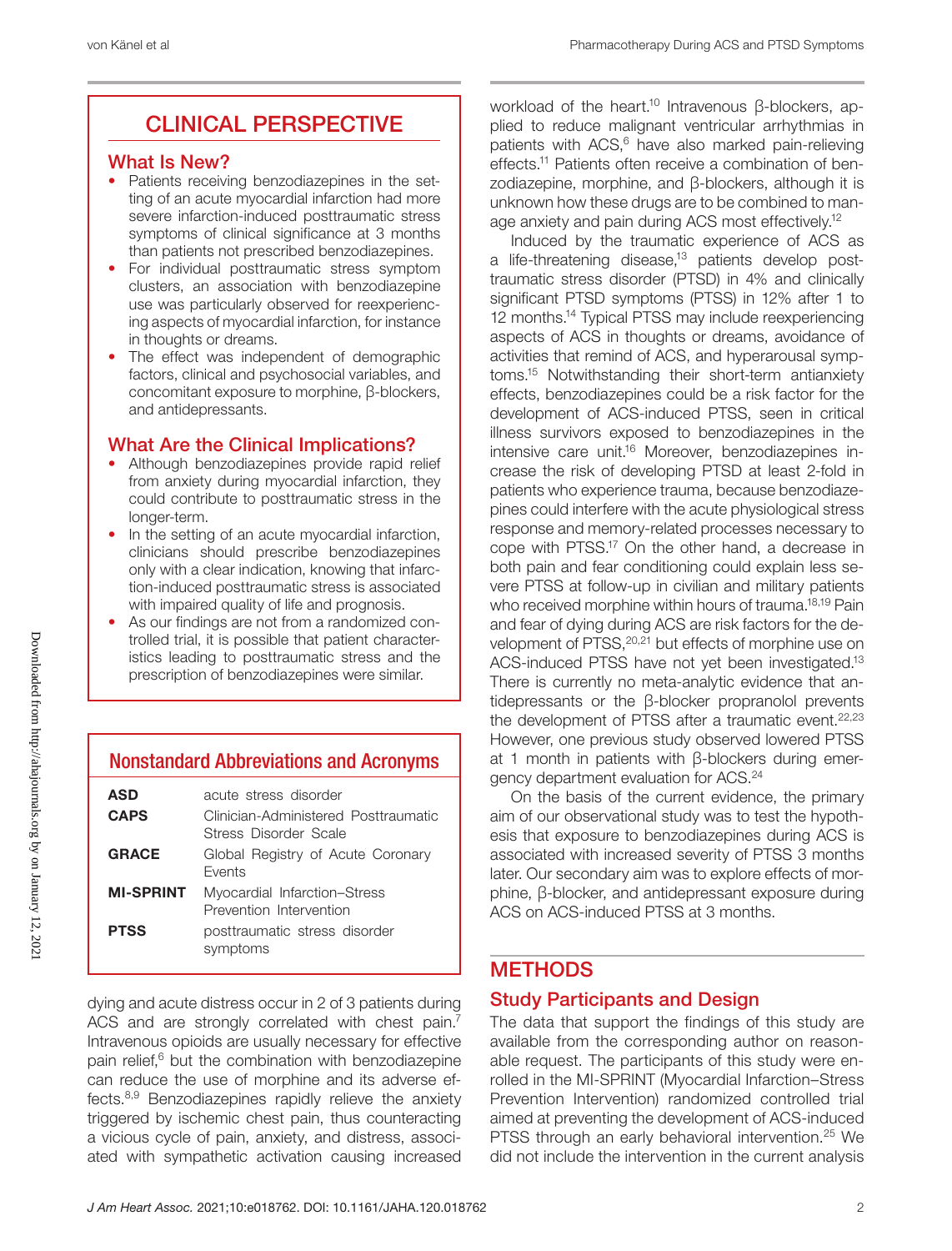### CLINICAL PERSPECTIVE

#### What Is New?

- Patients receiving benzodiazepines in the setting of an acute myocardial infarction had more severe infarction-induced posttraumatic stress symptoms of clinical significance at 3 months than patients not prescribed benzodiazepines.
- For individual posttraumatic stress symptom clusters, an association with benzodiazepine use was particularly observed for reexperiencing aspects of myocardial infarction, for instance in thoughts or dreams.
- The effect was independent of demographic factors, clinical and psychosocial variables, and concomitant exposure to morphine, β-blockers, and antidepressants.

#### What Are the Clinical Implications?

- Although benzodiazepines provide rapid relief from anxiety during myocardial infarction, they could contribute to posttraumatic stress in the longer-term.
- In the setting of an acute myocardial infarction, clinicians should prescribe benzodiazepines only with a clear indication, knowing that infarction-induced posttraumatic stress is associated with impaired quality of life and prognosis.
- As our findings are not from a randomized controlled trial, it is possible that patient characteristics leading to posttraumatic stress and the prescription of benzodiazepines were similar.

### Nonstandard Abbreviations and Acronyms

| ASD              | acute stress disorder                                         |
|------------------|---------------------------------------------------------------|
| <b>CAPS</b>      | Clinician-Administered Posttraumatic<br>Stress Disorder Scale |
| <b>GRACE</b>     | Global Registry of Acute Coronary<br><b>Fvents</b>            |
| <b>MI-SPRINT</b> | Myocardial Infarction-Stress<br>Prevention Intervention       |
| <b>PTSS</b>      | posttraumatic stress disorder<br>symptoms                     |

dying and acute distress occur in 2 of 3 patients during ACS and are strongly correlated with chest pain.<sup>7</sup> Intravenous opioids are usually necessary for effective pain relief, $6$  but the combination with benzodiazepine can reduce the use of morphine and its adverse effects.8,9 Benzodiazepines rapidly relieve the anxiety triggered by ischemic chest pain, thus counteracting a vicious cycle of pain, anxiety, and distress, associated with sympathetic activation causing increased

workload of the heart.<sup>10</sup> Intravenous β-blockers, applied to reduce malignant ventricular arrhythmias in patients with ACS,<sup>6</sup> have also marked pain-relieving effects.11 Patients often receive a combination of benzodiazepine, morphine, and β-blockers, although it is unknown how these drugs are to be combined to manage anxiety and pain during ACS most effectively.12

Induced by the traumatic experience of ACS as a life-threatening disease,<sup>13</sup> patients develop posttraumatic stress disorder (PTSD) in 4% and clinically significant PTSD symptoms (PTSS) in 12% after 1 to 12 months.14 Typical PTSS may include reexperiencing aspects of ACS in thoughts or dreams, avoidance of activities that remind of ACS, and hyperarousal symptoms.15 Notwithstanding their short-term antianxiety effects, benzodiazepines could be a risk factor for the development of ACS-induced PTSS, seen in critical illness survivors exposed to benzodiazepines in the intensive care unit.<sup>16</sup> Moreover, benzodiazepines increase the risk of developing PTSD at least 2-fold in patients who experience trauma, because benzodiazepines could interfere with the acute physiological stress response and memory-related processes necessary to cope with PTSS.17 On the other hand, a decrease in both pain and fear conditioning could explain less severe PTSS at follow-up in civilian and military patients who received morphine within hours of trauma.<sup>18,19</sup> Pain and fear of dying during ACS are risk factors for the development of PTSS, <sup>20,21</sup> but effects of morphine use on ACS-induced PTSS have not yet been investigated.<sup>13</sup> There is currently no meta-analytic evidence that antidepressants or the β-blocker propranolol prevents the development of PTSS after a traumatic event. $22,23$ However, one previous study observed lowered PTSS at 1 month in patients with β-blockers during emergency department evaluation for ACS.24

On the basis of the current evidence, the primary aim of our observational study was to test the hypothesis that exposure to benzodiazepines during ACS is associated with increased severity of PTSS 3 months later. Our secondary aim was to explore effects of morphine, β-blocker, and antidepressant exposure during ACS on ACS-induced PTSS at 3 months.

#### **METHODS**

#### Study Participants and Design

The data that support the findings of this study are available from the corresponding author on reasonable request. The participants of this study were enrolled in the MI-SPRINT (Myocardial Infarction–Stress Prevention Intervention) randomized controlled trial aimed at preventing the development of ACS-induced PTSS through an early behavioral intervention.<sup>25</sup> We did not include the intervention in the current analysis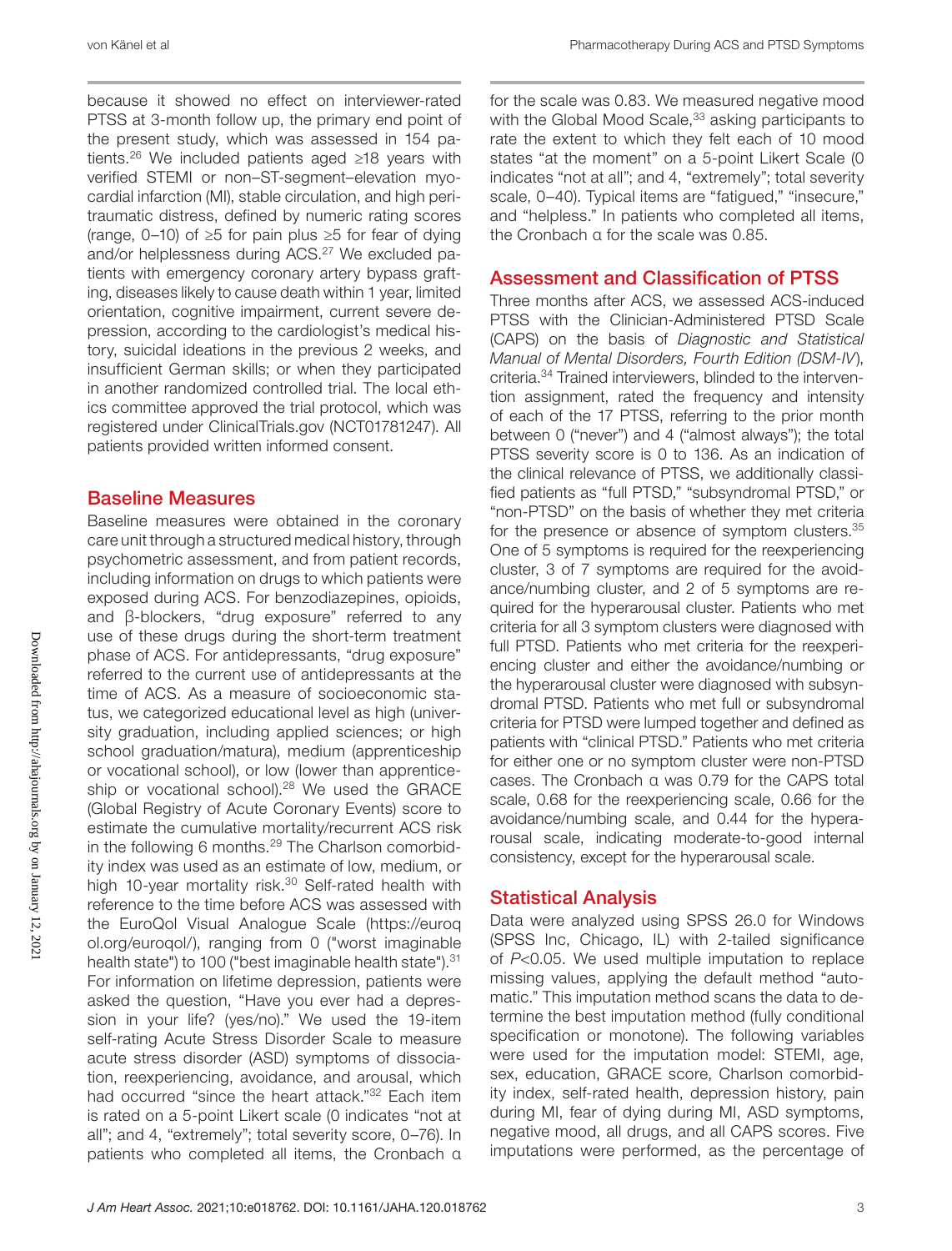because it showed no effect on interviewer-rated PTSS at 3-month follow up, the primary end point of the present study, which was assessed in 154 patients.26 We included patients aged ≥18 years with verified STEMI or non–ST-segment–elevation myocardial infarction (MI), stable circulation, and high peritraumatic distress, defined by numeric rating scores (range,  $0-10$ ) of  $\geq 5$  for pain plus  $\geq 5$  for fear of dying and/or helplessness during ACS.<sup>27</sup> We excluded patients with emergency coronary artery bypass grafting, diseases likely to cause death within 1 year, limited orientation, cognitive impairment, current severe depression, according to the cardiologist's medical history, suicidal ideations in the previous 2 weeks, and insufficient German skills; or when they participated in another randomized controlled trial. The local ethics committee approved the trial protocol, which was registered under [ClinicalTrials.gov](http://ClinicalTrials.gov) ([NCT01781247](http://clinicaltrials.gov/show/NCT01781247)). All patients provided written informed consent.

#### Baseline Measures

Baseline measures were obtained in the coronary care unit through a structured medical history, through psychometric assessment, and from patient records, including information on drugs to which patients were exposed during ACS. For benzodiazepines, opioids, and β-blockers, "drug exposure" referred to any use of these drugs during the short-term treatment phase of ACS. For antidepressants, "drug exposure" referred to the current use of antidepressants at the time of ACS. As a measure of socioeconomic status, we categorized educational level as high (university graduation, including applied sciences; or high school graduation/matura), medium (apprenticeship or vocational school), or low (lower than apprenticeship or vocational school).<sup>28</sup> We used the GRACE (Global Registry of Acute Coronary Events) score to estimate the cumulative mortality/recurrent ACS risk in the following 6 months. $29$  The Charlson comorbidity index was used as an estimate of low, medium, or high 10-year mortality risk.<sup>30</sup> Self-rated health with reference to the time before ACS was assessed with the EuroQol Visual Analogue Scale ([https://euroq](https://euroqol.org/euroqol/) [ol.org/euroqol/\)](https://euroqol.org/euroqol/), ranging from 0 ("worst imaginable health state") to 100 ("best imaginable health state").<sup>31</sup> For information on lifetime depression, patients were asked the question, "Have you ever had a depression in your life? (yes/no)." We used the 19-item self-rating Acute Stress Disorder Scale to measure acute stress disorder (ASD) symptoms of dissociation, reexperiencing, avoidance, and arousal, which had occurred "since the heart attack."32 Each item is rated on a 5-point Likert scale (0 indicates "not at all"; and 4, "extremely"; total severity score, 0–76). In patients who completed all items, the Cronbach α

for the scale was 0.83. We measured negative mood with the Global Mood Scale,<sup>33</sup> asking participants to rate the extent to which they felt each of 10 mood states "at the moment" on a 5-point Likert Scale (0 indicates "not at all"; and 4, "extremely"; total severity scale, 0-40). Typical items are "fatigued," "insecure," and "helpless." In patients who completed all items, the Cronbach α for the scale was 0.85.

#### Assessment and Classification of PTSS

Three months after ACS, we assessed ACS-induced PTSS with the Clinician-Administered PTSD Scale (CAPS) on the basis of *Diagnostic and Statistical Manual of Mental Disorders, Fourth Edition (DSM-IV*), criteria.34 Trained interviewers, blinded to the intervention assignment, rated the frequency and intensity of each of the 17 PTSS, referring to the prior month between 0 ("never") and 4 ("almost always"); the total PTSS severity score is 0 to 136. As an indication of the clinical relevance of PTSS, we additionally classified patients as "full PTSD," "subsyndromal PTSD," or "non-PTSD" on the basis of whether they met criteria for the presence or absence of symptom clusters.<sup>35</sup> One of 5 symptoms is required for the reexperiencing cluster, 3 of 7 symptoms are required for the avoidance/numbing cluster, and 2 of 5 symptoms are required for the hyperarousal cluster. Patients who met criteria for all 3 symptom clusters were diagnosed with full PTSD. Patients who met criteria for the reexperiencing cluster and either the avoidance/numbing or the hyperarousal cluster were diagnosed with subsyndromal PTSD. Patients who met full or subsyndromal criteria for PTSD were lumped together and defined as patients with "clinical PTSD." Patients who met criteria for either one or no symptom cluster were non-PTSD cases. The Cronbach α was 0.79 for the CAPS total scale, 0.68 for the reexperiencing scale, 0.66 for the avoidance/numbing scale, and 0.44 for the hyperarousal scale, indicating moderate-to-good internal consistency, except for the hyperarousal scale.

#### Statistical Analysis

Data were analyzed using SPSS 26.0 for Windows (SPSS Inc, Chicago, IL) with 2-tailed significance of *P*<0.05. We used multiple imputation to replace missing values, applying the default method "automatic." This imputation method scans the data to determine the best imputation method (fully conditional specification or monotone). The following variables were used for the imputation model: STEMI, age, sex, education, GRACE score, Charlson comorbidity index, self-rated health, depression history, pain during MI, fear of dying during MI, ASD symptoms, negative mood, all drugs, and all CAPS scores. Five imputations were performed, as the percentage of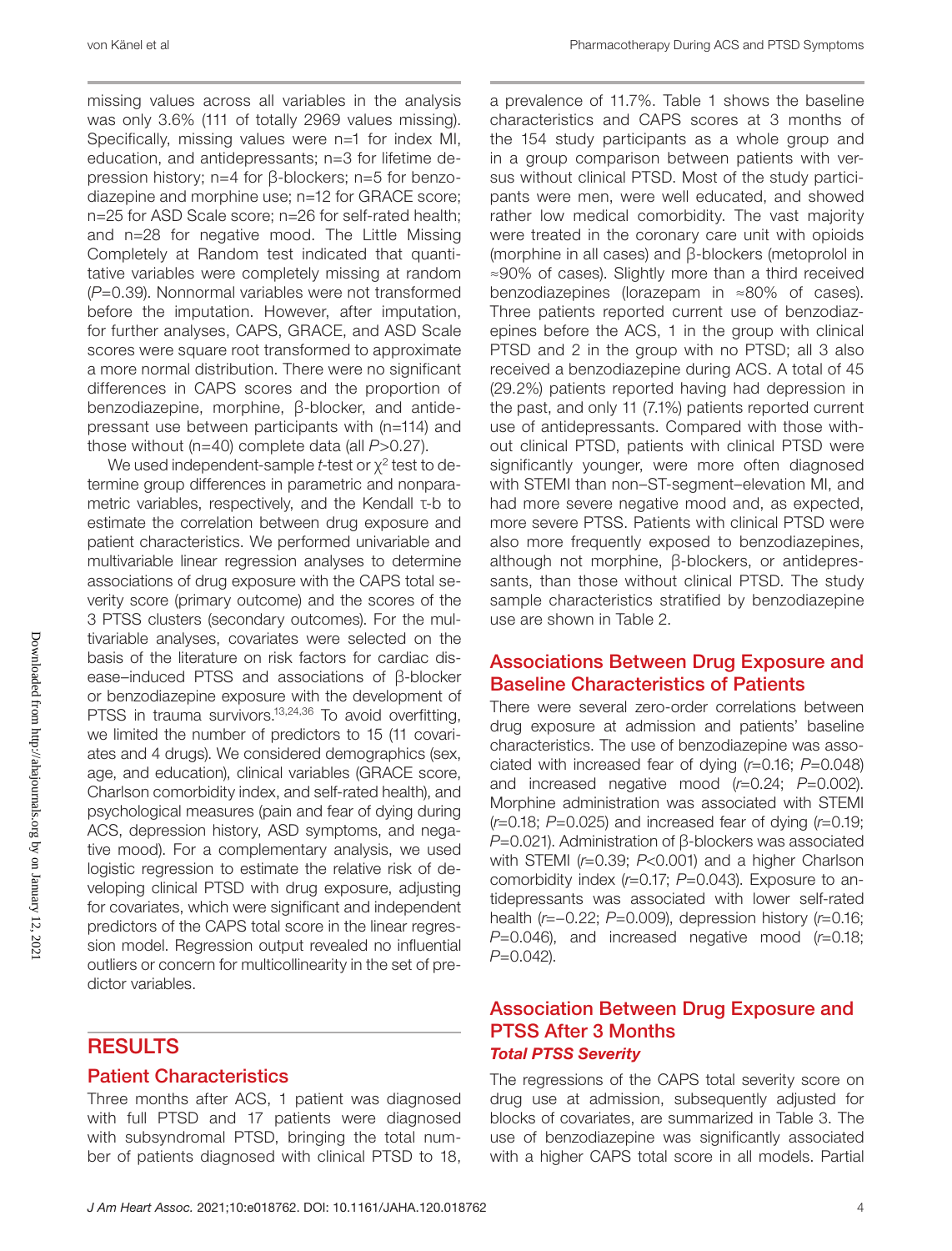missing values across all variables in the analysis was only 3.6% (111 of totally 2969 values missing). Specifically, missing values were n=1 for index MI, education, and antidepressants; n=3 for lifetime depression history; n=4 for β-blockers; n=5 for benzodiazepine and morphine use; n=12 for GRACE score; n=25 for ASD Scale score; n=26 for self-rated health; and n=28 for negative mood. The Little Missing Completely at Random test indicated that quantitative variables were completely missing at random (*P*=0.39). Nonnormal variables were not transformed before the imputation. However, after imputation, for further analyses, CAPS, GRACE, and ASD Scale scores were square root transformed to approximate a more normal distribution. There were no significant differences in CAPS scores and the proportion of benzodiazepine, morphine, β-blocker, and antidepressant use between participants with (n=114) and those without (n=40) complete data (all *P*>0.27).

We used independent-sample *t*-test or  $x^2$  test to determine group differences in parametric and nonparametric variables, respectively, and the Kendall τ-b to estimate the correlation between drug exposure and patient characteristics. We performed univariable and multivariable linear regression analyses to determine associations of drug exposure with the CAPS total severity score (primary outcome) and the scores of the 3 PTSS clusters (secondary outcomes). For the multivariable analyses, covariates were selected on the basis of the literature on risk factors for cardiac disease–induced PTSS and associations of β-blocker or benzodiazepine exposure with the development of PTSS in trauma survivors.<sup>13,24,36</sup> To avoid overfitting, we limited the number of predictors to 15 (11 covariates and 4 drugs). We considered demographics (sex, age, and education), clinical variables (GRACE score, Charlson comorbidity index, and self-rated health), and psychological measures (pain and fear of dying during ACS, depression history, ASD symptoms, and negative mood). For a complementary analysis, we used logistic regression to estimate the relative risk of developing clinical PTSD with drug exposure, adjusting for covariates, which were significant and independent predictors of the CAPS total score in the linear regression model. Regression output revealed no influential outliers or concern for multicollinearity in the set of predictor variables.

#### **RESULTS**

#### Patient Characteristics

Three months after ACS, 1 patient was diagnosed with full PTSD and 17 patients were diagnosed with subsyndromal PTSD, bringing the total number of patients diagnosed with clinical PTSD to 18,

a prevalence of 11.7%. Table 1 shows the baseline characteristics and CAPS scores at 3 months of the 154 study participants as a whole group and in a group comparison between patients with versus without clinical PTSD. Most of the study participants were men, were well educated, and showed rather low medical comorbidity. The vast majority were treated in the coronary care unit with opioids (morphine in all cases) and β-blockers (metoprolol in ≈90% of cases). Slightly more than a third received benzodiazepines (lorazepam in ≈80% of cases). Three patients reported current use of benzodiazepines before the ACS, 1 in the group with clinical PTSD and 2 in the group with no PTSD; all 3 also received a benzodiazepine during ACS. A total of 45 (29.2%) patients reported having had depression in the past, and only 11 (7.1%) patients reported current use of antidepressants. Compared with those without clinical PTSD, patients with clinical PTSD were significantly younger, were more often diagnosed with STEMI than non–ST-segment–elevation MI, and had more severe negative mood and, as expected, more severe PTSS. Patients with clinical PTSD were also more frequently exposed to benzodiazepines, although not morphine, β-blockers, or antidepressants, than those without clinical PTSD. The study sample characteristics stratified by benzodiazepine use are shown in Table 2.

#### Associations Between Drug Exposure and Baseline Characteristics of Patients

There were several zero-order correlations between drug exposure at admission and patients' baseline characteristics. The use of benzodiazepine was associated with increased fear of dying (*r*=0.16; *P*=0.048) and increased negative mood (*r*=0.24; *P*=0.002). Morphine administration was associated with STEMI (*r*=0.18; *P*=0.025) and increased fear of dying (*r*=0.19; *P*=0.021). Administration of β-blockers was associated with STEMI (*r*=0.39; *P*<0.001) and a higher Charlson comorbidity index (*r*=0.17; *P*=0.043). Exposure to antidepressants was associated with lower self-rated health (*r*=−0.22; *P*=0.009), depression history (*r*=0.16; *P*=0.046), and increased negative mood (*r*=0.18; *P*=0.042).

#### Association Between Drug Exposure and PTSS After 3 Months *Total PTSS Severity*

The regressions of the CAPS total severity score on drug use at admission, subsequently adjusted for blocks of covariates, are summarized in Table 3. The use of benzodiazepine was significantly associated with a higher CAPS total score in all models. Partial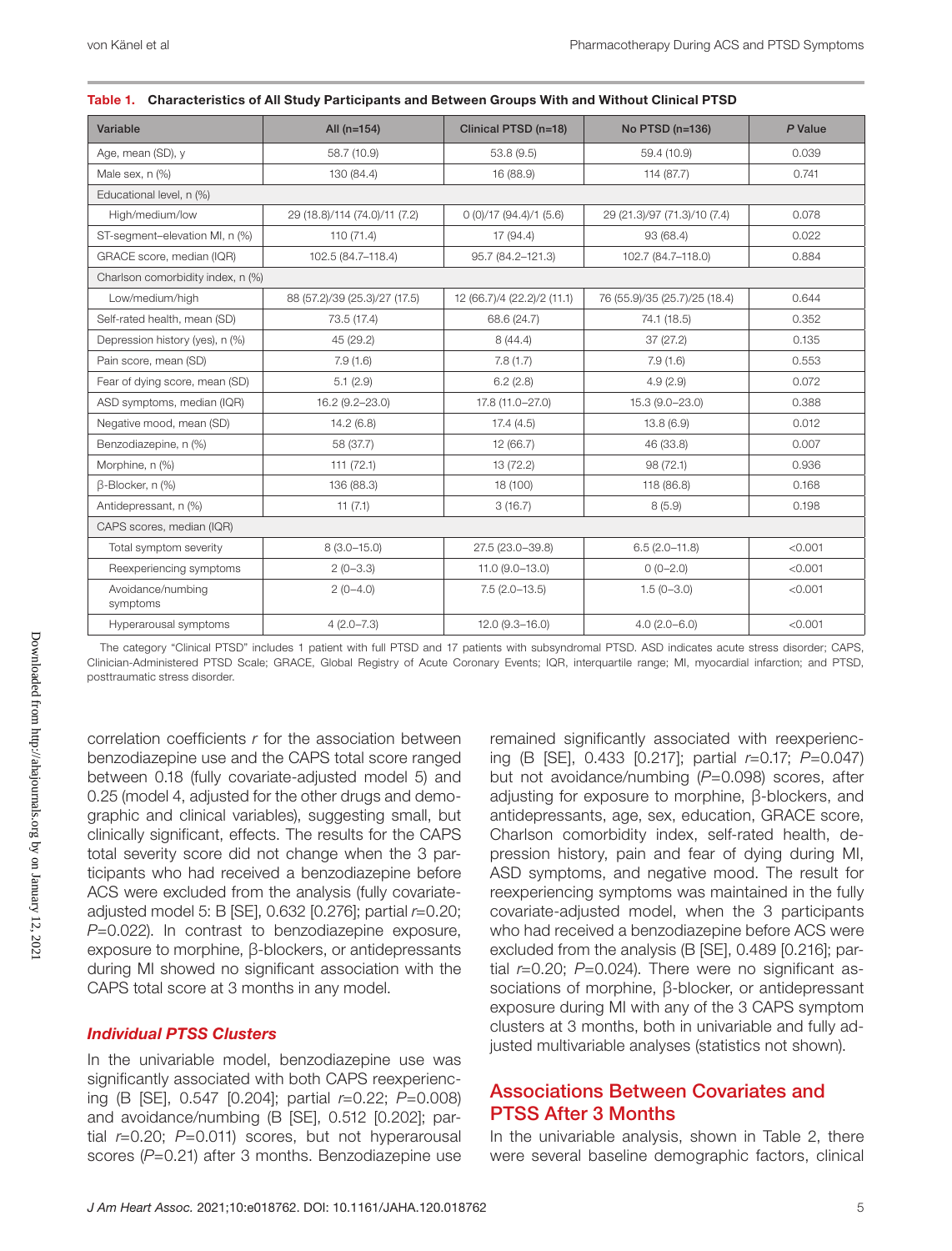| Variable                          | All $(n=154)$                 | Clinical PTSD (n=18)        | No PTSD (n=136)               | P Value |  |  |
|-----------------------------------|-------------------------------|-----------------------------|-------------------------------|---------|--|--|
| Age, mean (SD), y                 | 58.7 (10.9)                   | 53.8 (9.5)                  | 59.4 (10.9)                   | 0.039   |  |  |
| Male sex, n (%)                   | 130 (84.4)                    | 16 (88.9)                   | 114 (87.7)                    | 0.741   |  |  |
| Educational level, n (%)          |                               |                             |                               |         |  |  |
| High/medium/low                   | 29 (18.8)/114 (74.0)/11 (7.2) | 0(0)/17(94.4)/1(5.6)        | 29 (21.3)/97 (71.3)/10 (7.4)  | 0.078   |  |  |
| ST-segment-elevation MI, n (%)    | 110(71.4)                     | 17 (94.4)                   | 93 (68.4)                     | 0.022   |  |  |
| GRACE score, median (IQR)         | 102.5 (84.7-118.4)            | 95.7 (84.2-121.3)           | 102.7 (84.7-118.0)            | 0.884   |  |  |
| Charlson comorbidity index, n (%) |                               |                             |                               |         |  |  |
| Low/medium/high                   | 88 (57.2)/39 (25.3)/27 (17.5) | 12 (66.7)/4 (22.2)/2 (11.1) | 76 (55.9)/35 (25.7)/25 (18.4) | 0.644   |  |  |
| Self-rated health, mean (SD)      | 73.5 (17.4)                   | 68.6 (24.7)                 | 74.1 (18.5)                   | 0.352   |  |  |
| Depression history (yes), n (%)   | 45 (29.2)                     | 8(44.4)                     | 37(27.2)                      | 0.135   |  |  |
| Pain score, mean (SD)             | 7.9(1.6)                      | 7.8(1.7)                    | 7.9(1.6)                      | 0.553   |  |  |
| Fear of dying score, mean (SD)    | 5.1(2.9)                      | 6.2(2.8)                    | 4.9(2.9)                      | 0.072   |  |  |
| ASD symptoms, median (IQR)        | 16.2 (9.2-23.0)               | 17.8 (11.0-27.0)            | 15.3 (9.0-23.0)               | 0.388   |  |  |
| Negative mood, mean (SD)          | 14.2(6.8)                     | 17.4(4.5)                   | 13.8(6.9)                     | 0.012   |  |  |
| Benzodiazepine, n (%)             | 58 (37.7)                     | 12(66.7)                    | 46 (33.8)                     | 0.007   |  |  |
| Morphine, n (%)                   | 111(72.1)                     | 13 (72.2)                   | 98 (72.1)                     | 0.936   |  |  |
| B-Blocker, n (%)                  | 136 (88.3)                    | 18 (100)                    | 118 (86.8)                    | 0.168   |  |  |
| Antidepressant, n (%)             | 11(7.1)                       | 3(16.7)                     | 8(5.9)                        | 0.198   |  |  |
| CAPS scores, median (IQR)         |                               |                             |                               |         |  |  |
| Total symptom severity            | $8(3.0 - 15.0)$               | 27.5 (23.0-39.8)            | $6.5(2.0-11.8)$               | < 0.001 |  |  |
| Reexperiencing symptoms           | $2(0-3.3)$                    | $11.0(9.0-13.0)$            | $0(0-2.0)$                    | < 0.001 |  |  |
| Avoidance/numbing<br>symptoms     | $2(0-4.0)$                    | $7.5(2.0-13.5)$             | $1.5(0-3.0)$                  | < 0.001 |  |  |
| Hyperarousal symptoms             | $4(2.0 - 7.3)$                | $12.0(9.3 - 16.0)$          | $4.0(2.0 - 6.0)$              | < 0.001 |  |  |

| Table 1. Characteristics of All Study Participants and Between Groups With and Without Clinical PTSD |  |  |  |  |  |  |
|------------------------------------------------------------------------------------------------------|--|--|--|--|--|--|
|------------------------------------------------------------------------------------------------------|--|--|--|--|--|--|

The category "Clinical PTSD" includes 1 patient with full PTSD and 17 patients with subsyndromal PTSD. ASD indicates acute stress disorder; CAPS, Clinician-Administered PTSD Scale; GRACE, Global Registry of Acute Coronary Events; IQR, interquartile range; MI, myocardial infarction; and PTSD, posttraumatic stress disorder.

correlation coefficients *r* for the association between benzodiazepine use and the CAPS total score ranged between 0.18 (fully covariate-adjusted model 5) and 0.25 (model 4, adjusted for the other drugs and demographic and clinical variables), suggesting small, but clinically significant, effects. The results for the CAPS total severity score did not change when the 3 participants who had received a benzodiazepine before ACS were excluded from the analysis (fully covariateadjusted model 5: B [SE], 0.632 [0.276]; partial *r*=0.20; *P*=0.022). In contrast to benzodiazepine exposure, exposure to morphine, β-blockers, or antidepressants during MI showed no significant association with the CAPS total score at 3 months in any model.

#### *Individual PTSS Clusters*

In the univariable model, benzodiazepine use was significantly associated with both CAPS reexperiencing (B [SE], 0.547 [0.204]; partial *r*=0.22; *P*=0.008) and avoidance/numbing (B [SE], 0.512 [0.202]; partial *r*=0.20; *P*=0.011) scores, but not hyperarousal scores (P=0.21) after 3 months. Benzodiazepine use remained significantly associated with reexperiencing (B [SE], 0.433 [0.217]; partial *r*=0.17; *P*=0.047) but not avoidance/numbing (*P*=0.098) scores, after adjusting for exposure to morphine, β-blockers, and antidepressants, age, sex, education, GRACE score, Charlson comorbidity index, self-rated health, depression history, pain and fear of dying during MI, ASD symptoms, and negative mood. The result for reexperiencing symptoms was maintained in the fully covariate-adjusted model, when the 3 participants who had received a benzodiazepine before ACS were excluded from the analysis (B [SE], 0.489 [0.216]; partial *r*=0.20; *P*=0.024). There were no significant associations of morphine, β-blocker, or antidepressant exposure during MI with any of the 3 CAPS symptom clusters at 3 months, both in univariable and fully adjusted multivariable analyses (statistics not shown).

#### Associations Between Covariates and PTSS After 3 Months

In the univariable analysis, shown in Table 2, there were several baseline demographic factors, clinical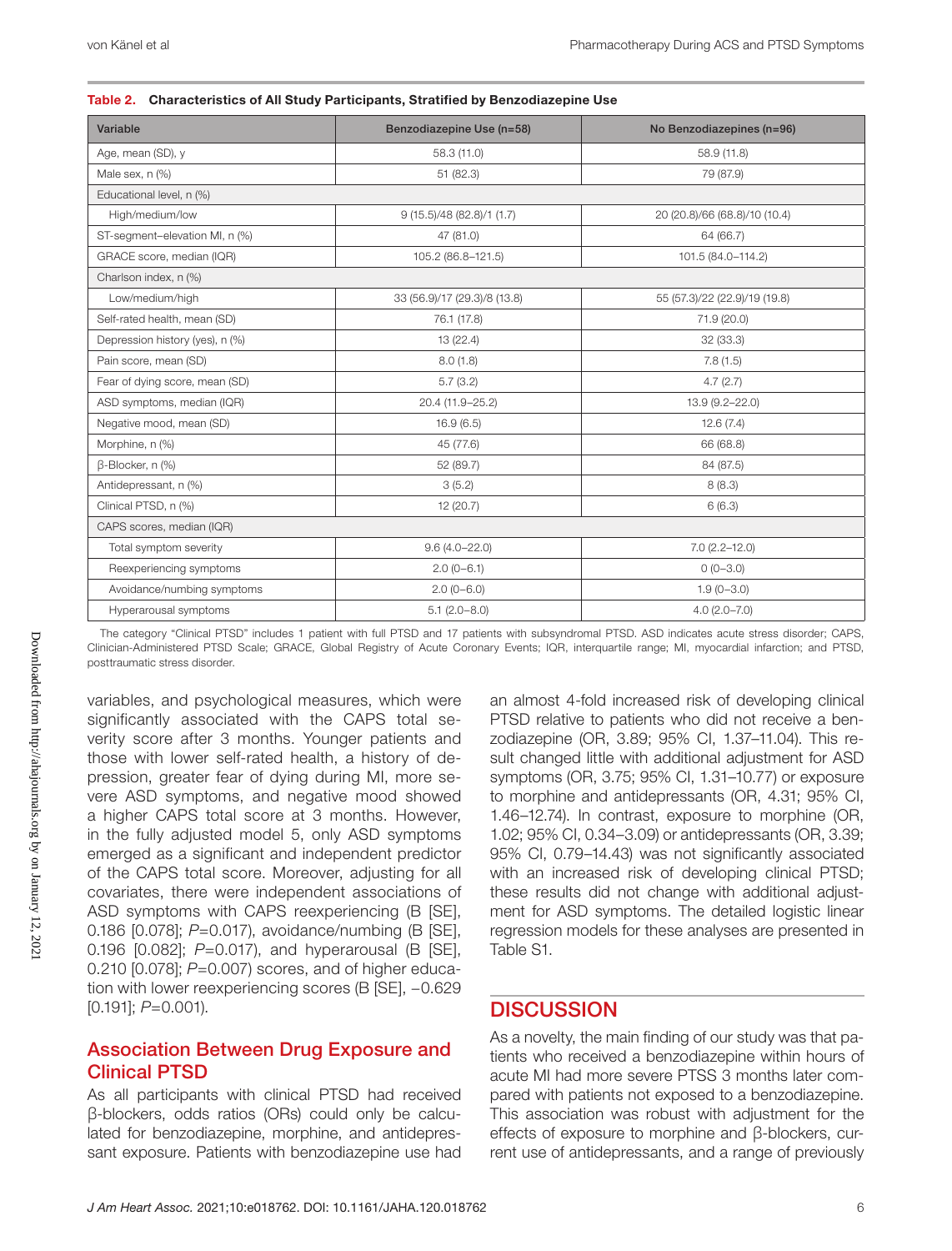| Variable                        | Benzodiazepine Use (n=58)    | No Benzodiazepines (n=96)     |
|---------------------------------|------------------------------|-------------------------------|
| Age, mean (SD), y               | 58.3 (11.0)                  | 58.9 (11.8)                   |
| Male sex, n (%)                 | 51(82.3)                     | 79 (87.9)                     |
| Educational level, n (%)        |                              |                               |
| High/medium/low                 | 9 (15.5)/48 (82.8)/1 (1.7)   | 20 (20.8)/66 (68.8)/10 (10.4) |
| ST-segment-elevation MI, n (%)  | 47 (81.0)                    | 64 (66.7)                     |
| GRACE score, median (IQR)       | 105.2 (86.8-121.5)           | 101.5 (84.0-114.2)            |
| Charlson index, n (%)           |                              |                               |
| Low/medium/high                 | 33 (56.9)/17 (29.3)/8 (13.8) | 55 (57.3)/22 (22.9)/19 (19.8) |
| Self-rated health, mean (SD)    | 76.1 (17.8)                  | 71.9 (20.0)                   |
| Depression history (yes), n (%) | 13 (22.4)                    | 32 (33.3)                     |
| Pain score, mean (SD)           | 8.0(1.8)                     | 7.8(1.5)                      |
| Fear of dying score, mean (SD)  | 5.7(3.2)                     | 4.7(2.7)                      |
| ASD symptoms, median (IQR)      | 20.4 (11.9-25.2)             | 13.9 (9.2-22.0)               |
| Negative mood, mean (SD)        | 16.9(6.5)                    | 12.6(7.4)                     |
| Morphine, n (%)                 | 45 (77.6)                    | 66 (68.8)                     |
| β-Blocker, n (%)                | 52 (89.7)                    | 84 (87.5)                     |
| Antidepressant, n (%)           | 3(5.2)                       | 8(8.3)                        |
| Clinical PTSD, n (%)            | 12 (20.7)                    | 6(6.3)                        |
| CAPS scores, median (IQR)       |                              |                               |
| Total symptom severity          | $9.6(4.0 - 22.0)$            | $7.0(2.2 - 12.0)$             |
| Reexperiencing symptoms         | $2.0(0-6.1)$                 | $0(0-3.0)$                    |
| Avoidance/numbing symptoms      | $2.0(0-6.0)$                 | $1.9(0 - 3.0)$                |
| Hyperarousal symptoms           | $5.1(2.0 - 8.0)$             | $4.0(2.0 - 7.0)$              |

|  |  | Table 2. Characteristics of All Study Participants, Stratified by Benzodiazepine Use |  |  |
|--|--|--------------------------------------------------------------------------------------|--|--|
|--|--|--------------------------------------------------------------------------------------|--|--|

The category "Clinical PTSD" includes 1 patient with full PTSD and 17 patients with subsyndromal PTSD. ASD indicates acute stress disorder; CAPS, Clinician-Administered PTSD Scale; GRACE, Global Registry of Acute Coronary Events; IQR, interquartile range; MI, myocardial infarction; and PTSD, posttraumatic stress disorder.

variables, and psychological measures, which were significantly associated with the CAPS total severity score after 3 months. Younger patients and those with lower self-rated health, a history of depression, greater fear of dying during MI, more severe ASD symptoms, and negative mood showed a higher CAPS total score at 3 months. However, in the fully adjusted model 5, only ASD symptoms emerged as a significant and independent predictor of the CAPS total score. Moreover, adjusting for all covariates, there were independent associations of ASD symptoms with CAPS reexperiencing (B [SE], 0.186 [0.078]; *P*=0.017), avoidance/numbing (B [SE], 0.196 [0.082]; *P*=0.017), and hyperarousal (B [SE], 0.210 [0.078]; *P*=0.007) scores, and of higher education with lower reexperiencing scores (B [SE], −0.629 [0.191]; *P*=0.001).

#### Association Between Drug Exposure and Clinical PTSD

As all participants with clinical PTSD had received β-blockers, odds ratios (ORs) could only be calculated for benzodiazepine, morphine, and antidepressant exposure. Patients with benzodiazepine use had

an almost 4-fold increased risk of developing clinical PTSD relative to patients who did not receive a benzodiazepine (OR, 3.89; 95% CI, 1.37–11.04). This result changed little with additional adjustment for ASD symptoms (OR, 3.75; 95% CI, 1.31–10.77) or exposure to morphine and antidepressants (OR, 4.31; 95% CI, 1.46–12.74). In contrast, exposure to morphine (OR, 1.02; 95% CI, 0.34–3.09) or antidepressants (OR, 3.39; 95% CI, 0.79–14.43) was not significantly associated with an increased risk of developing clinical PTSD; these results did not change with additional adjustment for ASD symptoms. The detailed logistic linear regression models for these analyses are presented in Table S1.

#### **DISCUSSION**

As a novelty, the main finding of our study was that patients who received a benzodiazepine within hours of acute MI had more severe PTSS 3 months later compared with patients not exposed to a benzodiazepine. This association was robust with adjustment for the effects of exposure to morphine and β-blockers, current use of antidepressants, and a range of previously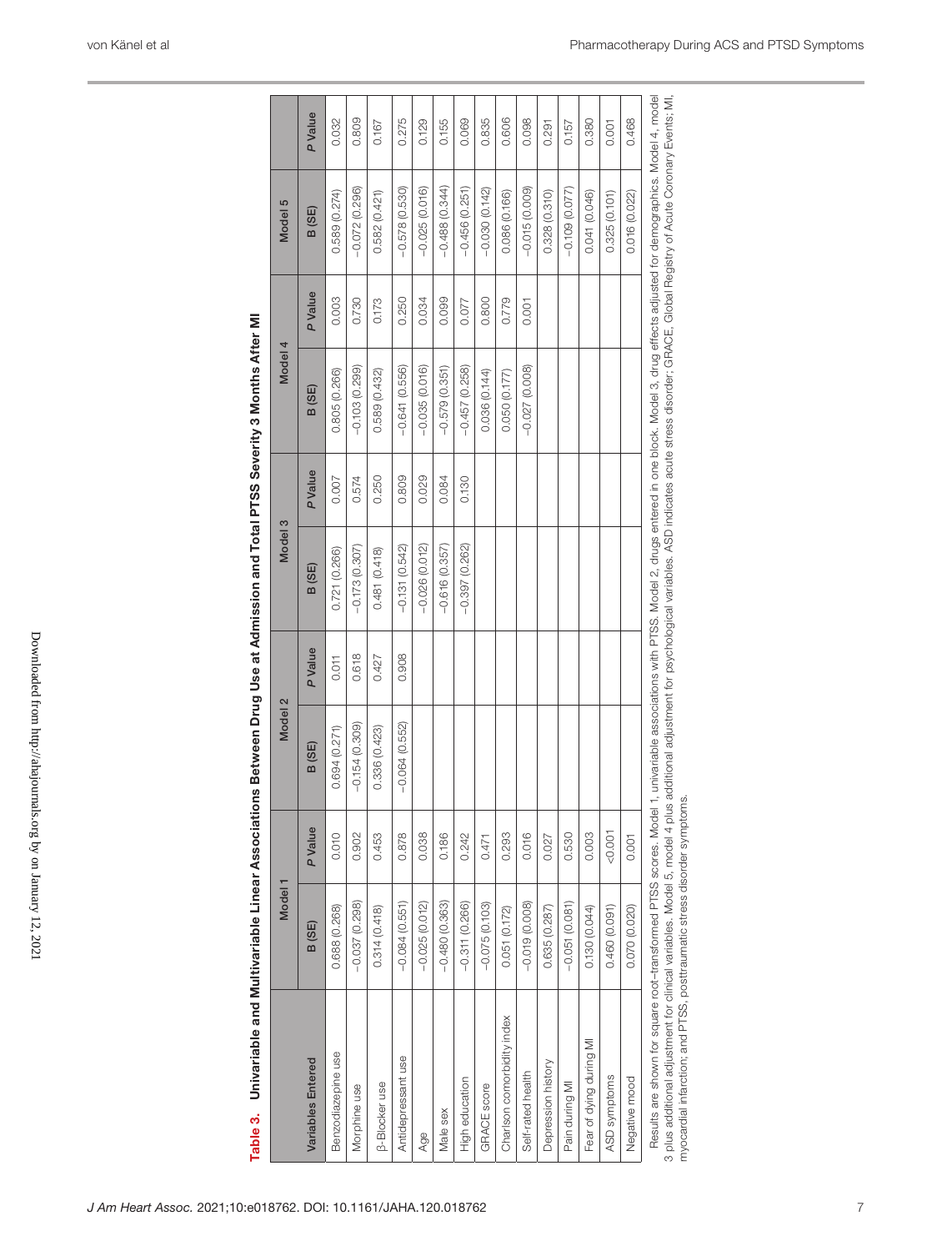| Table 3.                                                                                                                                                                                                                                                                                                                                                                | Univariable and Multivariable Linear Association |         |                 |               | ons Between Drug Use at Admission and Total PTSS Severity 3 Months After MI |         |                 |         |                                                                                                                                             |         |
|-------------------------------------------------------------------------------------------------------------------------------------------------------------------------------------------------------------------------------------------------------------------------------------------------------------------------------------------------------------------------|--------------------------------------------------|---------|-----------------|---------------|-----------------------------------------------------------------------------|---------|-----------------|---------|---------------------------------------------------------------------------------------------------------------------------------------------|---------|
|                                                                                                                                                                                                                                                                                                                                                                         | Model <sub>1</sub>                               |         | Model 2         |               | Model 3                                                                     |         | Model 4         |         | Model 5                                                                                                                                     |         |
| Variables Entered                                                                                                                                                                                                                                                                                                                                                       | B (SE)                                           | P Value | B (SE)          | <b>PValue</b> | B (SE)                                                                      | P Value | B (SE)          | P Value | B(SE)                                                                                                                                       | P Value |
| Benzodiazepine use                                                                                                                                                                                                                                                                                                                                                      | 0.688 (0.268)                                    | 0.010   | 0.694 (0.271)   | 0.011         | 0.721 (0.266)                                                               | 0.007   | 0.805(0.266)    | 0.003   | 0.589(0.274)                                                                                                                                | 0.032   |
| Morphine use                                                                                                                                                                                                                                                                                                                                                            | $-0.037(0.298)$                                  | 0.902   | $-0.154(0.309)$ | 0.618         | $-0.173(0.307)$                                                             | 0.574   | $-0.103(0.299)$ | 0.730   | $-0.072(0.296)$                                                                                                                             | 0.809   |
| <b>B-Blocker use</b>                                                                                                                                                                                                                                                                                                                                                    | 0.314(0.418)                                     | 0.453   | 0.336(0.423)    | 0.427         | 0.481(0.418)                                                                | 0.250   | 0.589 (0.432)   | 0.173   | 0.582(0.421)                                                                                                                                | 0.167   |
| Antidepressant use                                                                                                                                                                                                                                                                                                                                                      | $-0.084(0.551)$                                  | 0.878   | $-0.064(0.552)$ | 0.908         | $-0.131(0.542)$                                                             | 0.809   | $-0.641(0.556)$ | 0.250   | $-0.578(0.530)$                                                                                                                             | 0.275   |
| Age                                                                                                                                                                                                                                                                                                                                                                     | $-0.025(0.012)$                                  | 0.038   |                 |               | $-0.026(0.012)$                                                             | 0.029   | $-0.035(0.016)$ | 0.034   | $-0.025(0.016)$                                                                                                                             | 0.129   |
| Male sex                                                                                                                                                                                                                                                                                                                                                                | $-0.480(0.363)$                                  | 0.186   |                 |               | $-0.616(0.357)$                                                             | 0.084   | $-0.579(0.351)$ | 0.099   | $-0.488(0.344)$                                                                                                                             | 0.155   |
| High education                                                                                                                                                                                                                                                                                                                                                          | $-0.311(0.266)$                                  | 0.242   |                 |               | $-0.397(0.262)$                                                             | 0.130   | $-0.457(0.258)$ | 0.077   | $-0.456(0.251)$                                                                                                                             | 0.069   |
| <b>GRACE</b> score                                                                                                                                                                                                                                                                                                                                                      | $-0.075(0.103)$                                  | 0.471   |                 |               |                                                                             |         | 0.036(0.144)    | 0.800   | $-0.030(0.142)$                                                                                                                             | 0.835   |
| Charlson comorbidity index                                                                                                                                                                                                                                                                                                                                              | 0.051 (0.172)                                    | 0.293   |                 |               |                                                                             |         | 0.050 (0.177)   | 0.779   | 0.086 (0.166)                                                                                                                               | 0.606   |
| Self-rated health                                                                                                                                                                                                                                                                                                                                                       | $-0.019(0.008)$                                  | 0.016   |                 |               |                                                                             |         | $-0.027(0.008)$ | 0.001   | $-0.015(0.009)$                                                                                                                             | 0.098   |
| Depression history                                                                                                                                                                                                                                                                                                                                                      | 0.635(0.287)                                     | 0.027   |                 |               |                                                                             |         |                 |         | 0.328(0.310)                                                                                                                                | 0.291   |
| Pain during MI                                                                                                                                                                                                                                                                                                                                                          | $-0.051(0.081)$                                  | 0.530   |                 |               |                                                                             |         |                 |         | $-0.109(0.077)$                                                                                                                             | 0.157   |
| Fear of dying during MI                                                                                                                                                                                                                                                                                                                                                 | 0.130 (0.044)                                    | 0.003   |                 |               |                                                                             |         |                 |         | 0.041 (0.046)                                                                                                                               | 0.380   |
| ASD symptoms                                                                                                                                                                                                                                                                                                                                                            | 0.460 (0.091)                                    | 0.007   |                 |               |                                                                             |         |                 |         | 0.325(0.101)                                                                                                                                | 0.001   |
| Negative mood                                                                                                                                                                                                                                                                                                                                                           | 0.070 (0.020)                                    | 0.001   |                 |               |                                                                             |         |                 |         | 0.016 (0.022)                                                                                                                               | 0.468   |
| 3 plus additional adjustment for clinical variables. Model 5, model 4 plus additional adjustment for psychological variables. ASD indicates acute stress disorder; GRACE, Global Registry of Acute Coronary Events; MI,<br>myocardial infarction; and PTSS, posttraumatic stress disorder symptoms.<br>Results are shown for square root-transformed PTSS scores. Model |                                                  |         |                 |               |                                                                             |         |                 |         | 1, univariable associations with PTSS. Model 2, drugs entered in one block. Model 3, drug effects adjusted for demographics. Model 4, model |         |

| i<br>Ē                                                                                                                                                                                                                               |  |
|--------------------------------------------------------------------------------------------------------------------------------------------------------------------------------------------------------------------------------------|--|
|                                                                                                                                                                                                                                      |  |
|                                                                                                                                                                                                                                      |  |
|                                                                                                                                                                                                                                      |  |
|                                                                                                                                                                                                                                      |  |
|                                                                                                                                                                                                                                      |  |
|                                                                                                                                                                                                                                      |  |
|                                                                                                                                                                                                                                      |  |
|                                                                                                                                                                                                                                      |  |
|                                                                                                                                                                                                                                      |  |
|                                                                                                                                                                                                                                      |  |
|                                                                                                                                                                                                                                      |  |
|                                                                                                                                                                                                                                      |  |
|                                                                                                                                                                                                                                      |  |
|                                                                                                                                                                                                                                      |  |
|                                                                                                                                                                                                                                      |  |
|                                                                                                                                                                                                                                      |  |
|                                                                                                                                                                                                                                      |  |
|                                                                                                                                                                                                                                      |  |
|                                                                                                                                                                                                                                      |  |
|                                                                                                                                                                                                                                      |  |
|                                                                                                                                                                                                                                      |  |
|                                                                                                                                                                                                                                      |  |
|                                                                                                                                                                                                                                      |  |
|                                                                                                                                                                                                                                      |  |
|                                                                                                                                                                                                                                      |  |
|                                                                                                                                                                                                                                      |  |
| $\begin{array}{c} \hline \end{array}$                                                                                                                                                                                                |  |
|                                                                                                                                                                                                                                      |  |
|                                                                                                                                                                                                                                      |  |
|                                                                                                                                                                                                                                      |  |
|                                                                                                                                                                                                                                      |  |
| ļ                                                                                                                                                                                                                                    |  |
|                                                                                                                                                                                                                                      |  |
|                                                                                                                                                                                                                                      |  |
|                                                                                                                                                                                                                                      |  |
| ׇ֚֬֕                                                                                                                                                                                                                                 |  |
|                                                                                                                                                                                                                                      |  |
|                                                                                                                                                                                                                                      |  |
|                                                                                                                                                                                                                                      |  |
|                                                                                                                                                                                                                                      |  |
|                                                                                                                                                                                                                                      |  |
|                                                                                                                                                                                                                                      |  |
|                                                                                                                                                                                                                                      |  |
|                                                                                                                                                                                                                                      |  |
|                                                                                                                                                                                                                                      |  |
|                                                                                                                                                                                                                                      |  |
|                                                                                                                                                                                                                                      |  |
|                                                                                                                                                                                                                                      |  |
|                                                                                                                                                                                                                                      |  |
|                                                                                                                                                                                                                                      |  |
|                                                                                                                                                                                                                                      |  |
|                                                                                                                                                                                                                                      |  |
|                                                                                                                                                                                                                                      |  |
|                                                                                                                                                                                                                                      |  |
|                                                                                                                                                                                                                                      |  |
|                                                                                                                                                                                                                                      |  |
| Í<br>I                                                                                                                                                                                                                               |  |
|                                                                                                                                                                                                                                      |  |
|                                                                                                                                                                                                                                      |  |
|                                                                                                                                                                                                                                      |  |
|                                                                                                                                                                                                                                      |  |
|                                                                                                                                                                                                                                      |  |
|                                                                                                                                                                                                                                      |  |
|                                                                                                                                                                                                                                      |  |
|                                                                                                                                                                                                                                      |  |
|                                                                                                                                                                                                                                      |  |
| Ì<br>I                                                                                                                                                                                                                               |  |
|                                                                                                                                                                                                                                      |  |
|                                                                                                                                                                                                                                      |  |
|                                                                                                                                                                                                                                      |  |
|                                                                                                                                                                                                                                      |  |
|                                                                                                                                                                                                                                      |  |
|                                                                                                                                                                                                                                      |  |
|                                                                                                                                                                                                                                      |  |
|                                                                                                                                                                                                                                      |  |
|                                                                                                                                                                                                                                      |  |
|                                                                                                                                                                                                                                      |  |
|                                                                                                                                                                                                                                      |  |
|                                                                                                                                                                                                                                      |  |
|                                                                                                                                                                                                                                      |  |
|                                                                                                                                                                                                                                      |  |
|                                                                                                                                                                                                                                      |  |
|                                                                                                                                                                                                                                      |  |
|                                                                                                                                                                                                                                      |  |
|                                                                                                                                                                                                                                      |  |
|                                                                                                                                                                                                                                      |  |
|                                                                                                                                                                                                                                      |  |
|                                                                                                                                                                                                                                      |  |
|                                                                                                                                                                                                                                      |  |
|                                                                                                                                                                                                                                      |  |
|                                                                                                                                                                                                                                      |  |
|                                                                                                                                                                                                                                      |  |
|                                                                                                                                                                                                                                      |  |
|                                                                                                                                                                                                                                      |  |
|                                                                                                                                                                                                                                      |  |
|                                                                                                                                                                                                                                      |  |
|                                                                                                                                                                                                                                      |  |
|                                                                                                                                                                                                                                      |  |
|                                                                                                                                                                                                                                      |  |
|                                                                                                                                                                                                                                      |  |
|                                                                                                                                                                                                                                      |  |
|                                                                                                                                                                                                                                      |  |
|                                                                                                                                                                                                                                      |  |
|                                                                                                                                                                                                                                      |  |
|                                                                                                                                                                                                                                      |  |
|                                                                                                                                                                                                                                      |  |
|                                                                                                                                                                                                                                      |  |
|                                                                                                                                                                                                                                      |  |
|                                                                                                                                                                                                                                      |  |
| $\ddot{\phantom{a}}$                                                                                                                                                                                                                 |  |
|                                                                                                                                                                                                                                      |  |
| <b>Contact Contact Contact Contact Contact Contact Contact Contact Contact Contact Contact Contact Contact Contact Contact Contact Contact Contact Contact Contact Contact Contact Contact Contact Contact Contact Contact Conta</b> |  |
|                                                                                                                                                                                                                                      |  |
| j<br>¢                                                                                                                                                                                                                               |  |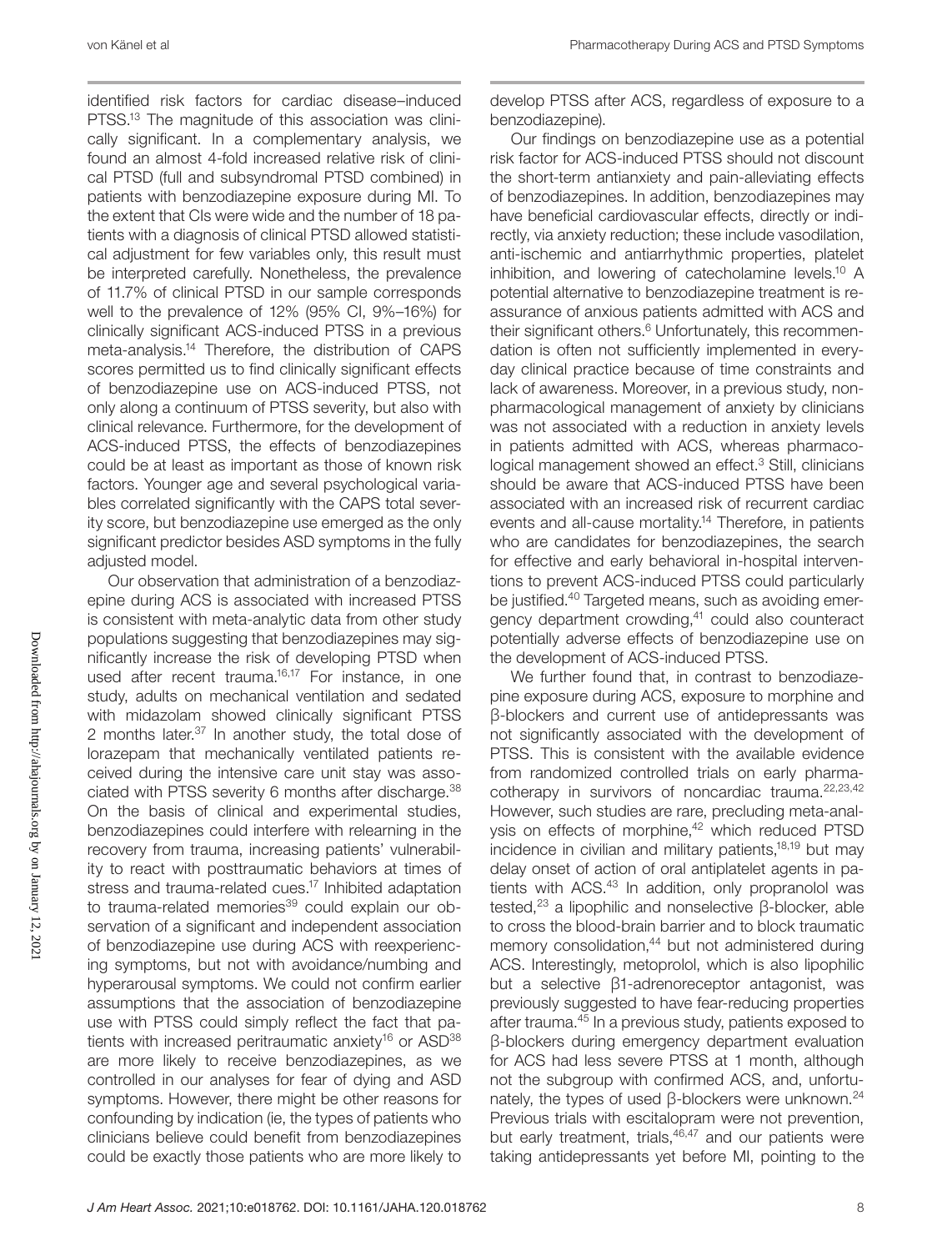identified risk factors for cardiac disease–induced PTSS.13 The magnitude of this association was clinically significant. In a complementary analysis, we found an almost 4-fold increased relative risk of clinical PTSD (full and subsyndromal PTSD combined) in patients with benzodiazepine exposure during MI. To the extent that CIs were wide and the number of 18 patients with a diagnosis of clinical PTSD allowed statistical adjustment for few variables only, this result must be interpreted carefully. Nonetheless, the prevalence of 11.7% of clinical PTSD in our sample corresponds well to the prevalence of 12% (95% CI, 9%–16%) for clinically significant ACS-induced PTSS in a previous meta-analysis.14 Therefore, the distribution of CAPS scores permitted us to find clinically significant effects of benzodiazepine use on ACS-induced PTSS, not only along a continuum of PTSS severity, but also with clinical relevance. Furthermore, for the development of ACS-induced PTSS, the effects of benzodiazepines could be at least as important as those of known risk factors. Younger age and several psychological variables correlated significantly with the CAPS total severity score, but benzodiazepine use emerged as the only significant predictor besides ASD symptoms in the fully adjusted model.

Our observation that administration of a benzodiazepine during ACS is associated with increased PTSS is consistent with meta-analytic data from other study populations suggesting that benzodiazepines may significantly increase the risk of developing PTSD when used after recent trauma.<sup>16,17</sup> For instance, in one study, adults on mechanical ventilation and sedated with midazolam showed clinically significant PTSS 2 months later.37 In another study, the total dose of lorazepam that mechanically ventilated patients received during the intensive care unit stay was associated with PTSS severity 6 months after discharge.38 On the basis of clinical and experimental studies, benzodiazepines could interfere with relearning in the recovery from trauma, increasing patients' vulnerability to react with posttraumatic behaviors at times of stress and trauma-related cues.<sup>17</sup> Inhibited adaptation to trauma-related memories<sup>39</sup> could explain our observation of a significant and independent association of benzodiazepine use during ACS with reexperiencing symptoms, but not with avoidance/numbing and hyperarousal symptoms. We could not confirm earlier assumptions that the association of benzodiazepine use with PTSS could simply reflect the fact that patients with increased peritraumatic anxiety<sup>16</sup> or  $ASD^{38}$ are more likely to receive benzodiazepines, as we controlled in our analyses for fear of dying and ASD symptoms. However, there might be other reasons for confounding by indication (ie, the types of patients who clinicians believe could benefit from benzodiazepines could be exactly those patients who are more likely to develop PTSS after ACS, regardless of exposure to a benzodiazepine).

Our findings on benzodiazepine use as a potential risk factor for ACS-induced PTSS should not discount the short-term antianxiety and pain-alleviating effects of benzodiazepines. In addition, benzodiazepines may have beneficial cardiovascular effects, directly or indirectly, via anxiety reduction; these include vasodilation, anti-ischemic and antiarrhythmic properties, platelet inhibition, and lowering of catecholamine levels.<sup>10</sup> A potential alternative to benzodiazepine treatment is reassurance of anxious patients admitted with ACS and their significant others.<sup>6</sup> Unfortunately, this recommendation is often not sufficiently implemented in everyday clinical practice because of time constraints and lack of awareness. Moreover, in a previous study, nonpharmacological management of anxiety by clinicians was not associated with a reduction in anxiety levels in patients admitted with ACS, whereas pharmacological management showed an effect.<sup>3</sup> Still, clinicians should be aware that ACS-induced PTSS have been associated with an increased risk of recurrent cardiac events and all-cause mortality.<sup>14</sup> Therefore, in patients who are candidates for benzodiazepines, the search for effective and early behavioral in-hospital interventions to prevent ACS-induced PTSS could particularly be justified.40 Targeted means, such as avoiding emergency department crowding,41 could also counteract potentially adverse effects of benzodiazepine use on the development of ACS-induced PTSS.

We further found that, in contrast to benzodiazepine exposure during ACS, exposure to morphine and β-blockers and current use of antidepressants was not significantly associated with the development of PTSS. This is consistent with the available evidence from randomized controlled trials on early pharmacotherapy in survivors of noncardiac trauma.22,23,42 However, such studies are rare, precluding meta-analysis on effects of morphine,<sup>42</sup> which reduced PTSD incidence in civilian and military patients, $18,19$  but may delay onset of action of oral antiplatelet agents in patients with ACS.<sup>43</sup> In addition, only propranolol was tested,<sup>23</sup> a lipophilic and nonselective β-blocker, able to cross the blood-brain barrier and to block traumatic memory consolidation,<sup>44</sup> but not administered during ACS. Interestingly, metoprolol, which is also lipophilic but a selective β1-adrenoreceptor antagonist, was previously suggested to have fear-reducing properties after trauma.45 In a previous study, patients exposed to β-blockers during emergency department evaluation for ACS had less severe PTSS at 1 month, although not the subgroup with confirmed ACS, and, unfortunately, the types of used β-blockers were unknown.<sup>24</sup> Previous trials with escitalopram were not prevention, but early treatment, trials, $46,47$  and our patients were taking antidepressants yet before MI, pointing to the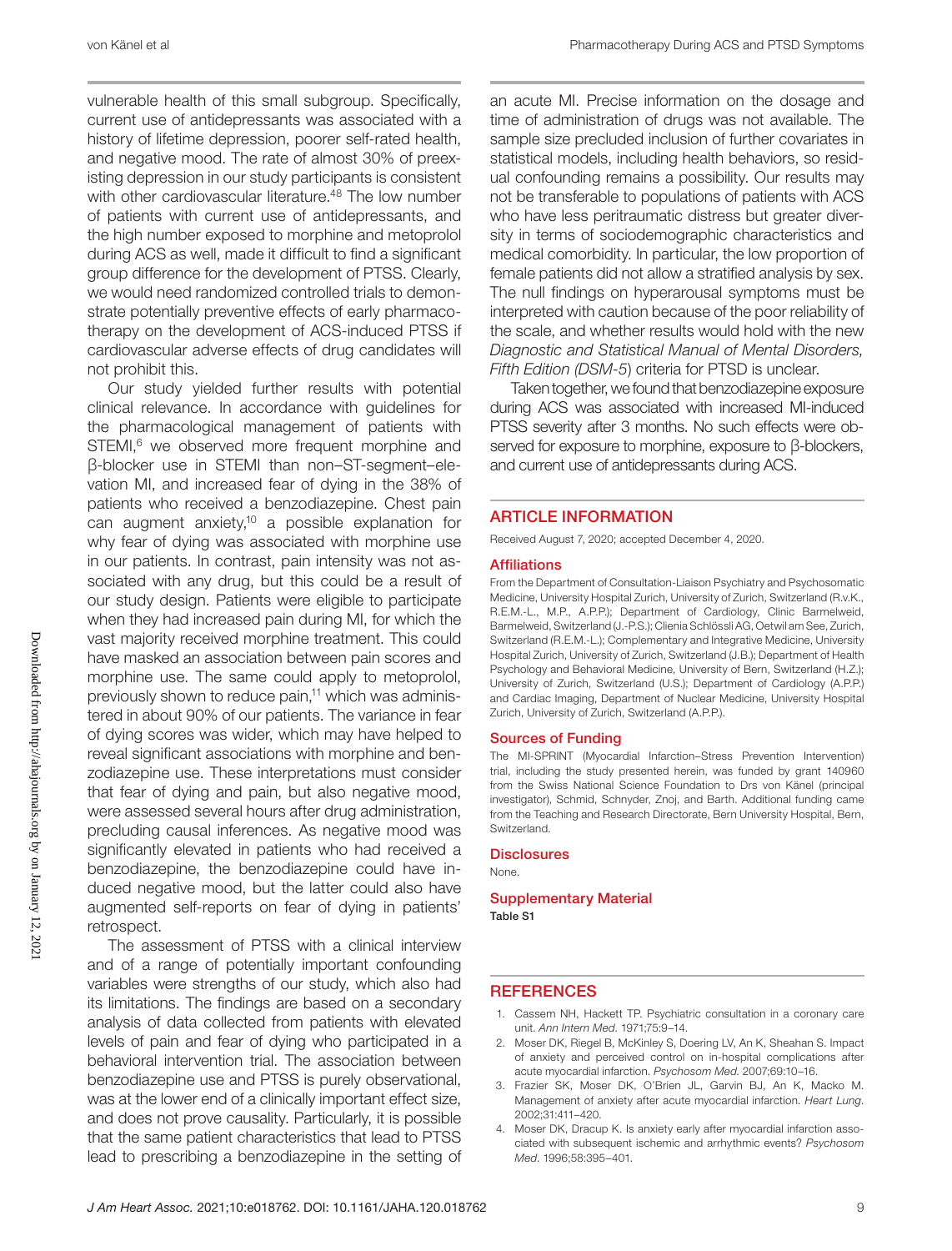vulnerable health of this small subgroup. Specifically, current use of antidepressants was associated with a history of lifetime depression, poorer self-rated health, and negative mood. The rate of almost 30% of preexisting depression in our study participants is consistent with other cardiovascular literature.<sup>48</sup> The low number of patients with current use of antidepressants, and the high number exposed to morphine and metoprolol during ACS as well, made it difficult to find a significant group difference for the development of PTSS. Clearly, we would need randomized controlled trials to demonstrate potentially preventive effects of early pharmacotherapy on the development of ACS-induced PTSS if cardiovascular adverse effects of drug candidates will not prohibit this.

Our study yielded further results with potential clinical relevance. In accordance with guidelines for the pharmacological management of patients with STEMI,<sup>6</sup> we observed more frequent morphine and β-blocker use in STEMI than non–ST-segment–elevation MI, and increased fear of dying in the 38% of patients who received a benzodiazepine. Chest pain can augment anxiety,<sup>10</sup> a possible explanation for why fear of dying was associated with morphine use in our patients. In contrast, pain intensity was not associated with any drug, but this could be a result of our study design. Patients were eligible to participate when they had increased pain during MI, for which the vast majority received morphine treatment. This could have masked an association between pain scores and morphine use. The same could apply to metoprolol, previously shown to reduce pain,<sup>11</sup> which was administered in about 90% of our patients. The variance in fear of dying scores was wider, which may have helped to reveal significant associations with morphine and benzodiazepine use. These interpretations must consider that fear of dying and pain, but also negative mood, were assessed several hours after drug administration, precluding causal inferences. As negative mood was significantly elevated in patients who had received a benzodiazepine, the benzodiazepine could have induced negative mood, but the latter could also have augmented self-reports on fear of dying in patients' retrospect.

The assessment of PTSS with a clinical interview and of a range of potentially important confounding variables were strengths of our study, which also had its limitations. The findings are based on a secondary analysis of data collected from patients with elevated levels of pain and fear of dying who participated in a behavioral intervention trial. The association between benzodiazepine use and PTSS is purely observational, was at the lower end of a clinically important effect size, and does not prove causality. Particularly, it is possible that the same patient characteristics that lead to PTSS lead to prescribing a benzodiazepine in the setting of an acute MI. Precise information on the dosage and time of administration of drugs was not available. The sample size precluded inclusion of further covariates in statistical models, including health behaviors, so residual confounding remains a possibility. Our results may not be transferable to populations of patients with ACS who have less peritraumatic distress but greater diversity in terms of sociodemographic characteristics and medical comorbidity. In particular, the low proportion of female patients did not allow a stratified analysis by sex. The null findings on hyperarousal symptoms must be interpreted with caution because of the poor reliability of the scale, and whether results would hold with the new *Diagnostic and Statistical Manual of Mental Disorders, Fifth Edition (DSM-5*) criteria for PTSD is unclear.

Taken together, we found that benzodiazepine exposure during ACS was associated with increased MI-induced PTSS severity after 3 months. No such effects were observed for exposure to morphine, exposure to β-blockers, and current use of antidepressants during ACS.

#### ARTICLE INFORMATION

Received August 7, 2020; accepted December 4, 2020.

#### Affiliations

From the Department of Consultation-Liaison Psychiatry and Psychosomatic Medicine, University Hospital Zurich, University of Zurich, Switzerland (R.v.K., R.E.M.-L., M.P., A.P.P.); Department of Cardiology, Clinic Barmelweid, Barmelweid, Switzerland (J.-P.S.); Clienia Schlössli AG, Oetwil am See, Zurich, Switzerland (R.E.M.-L.); Complementary and Integrative Medicine, University Hospital Zurich, University of Zurich, Switzerland (J.B.); Department of Health Psychology and Behavioral Medicine, University of Bern, Switzerland (H.Z.); University of Zurich, Switzerland (U.S.); Department of Cardiology (A.P.P.) and Cardiac Imaging, Department of Nuclear Medicine, University Hospital Zurich, University of Zurich, Switzerland (A.P.P.).

#### Sources of Funding

The MI-SPRINT (Myocardial Infarction–Stress Prevention Intervention) trial, including the study presented herein, was funded by grant 140960 from the Swiss National Science Foundation to Drs von Känel (principal investigator), Schmid, Schnyder, Znoj, and Barth. Additional funding came from the Teaching and Research Directorate, Bern University Hospital, Bern, Switzerland.

#### **Disclosures**

None.

#### Supplementary Material Table S1

#### **REFERENCES**

- 1. Cassem NH, Hackett TP. Psychiatric consultation in a coronary care unit. *Ann Intern Med*. 1971;75:9–14.
- 2. Moser DK, Riegel B, McKinley S, Doering LV, An K, Sheahan S. Impact of anxiety and perceived control on in-hospital complications after acute myocardial infarction. *Psychosom Med*. 2007;69:10–16.
- 3. Frazier SK, Moser DK, O'Brien JL, Garvin BJ, An K, Macko M. Management of anxiety after acute myocardial infarction. *Heart Lung*. 2002;31:411–420.
- 4. Moser DK, Dracup K. Is anxiety early after myocardial infarction associated with subsequent ischemic and arrhythmic events? *Psychosom Med*. 1996;58:395–401.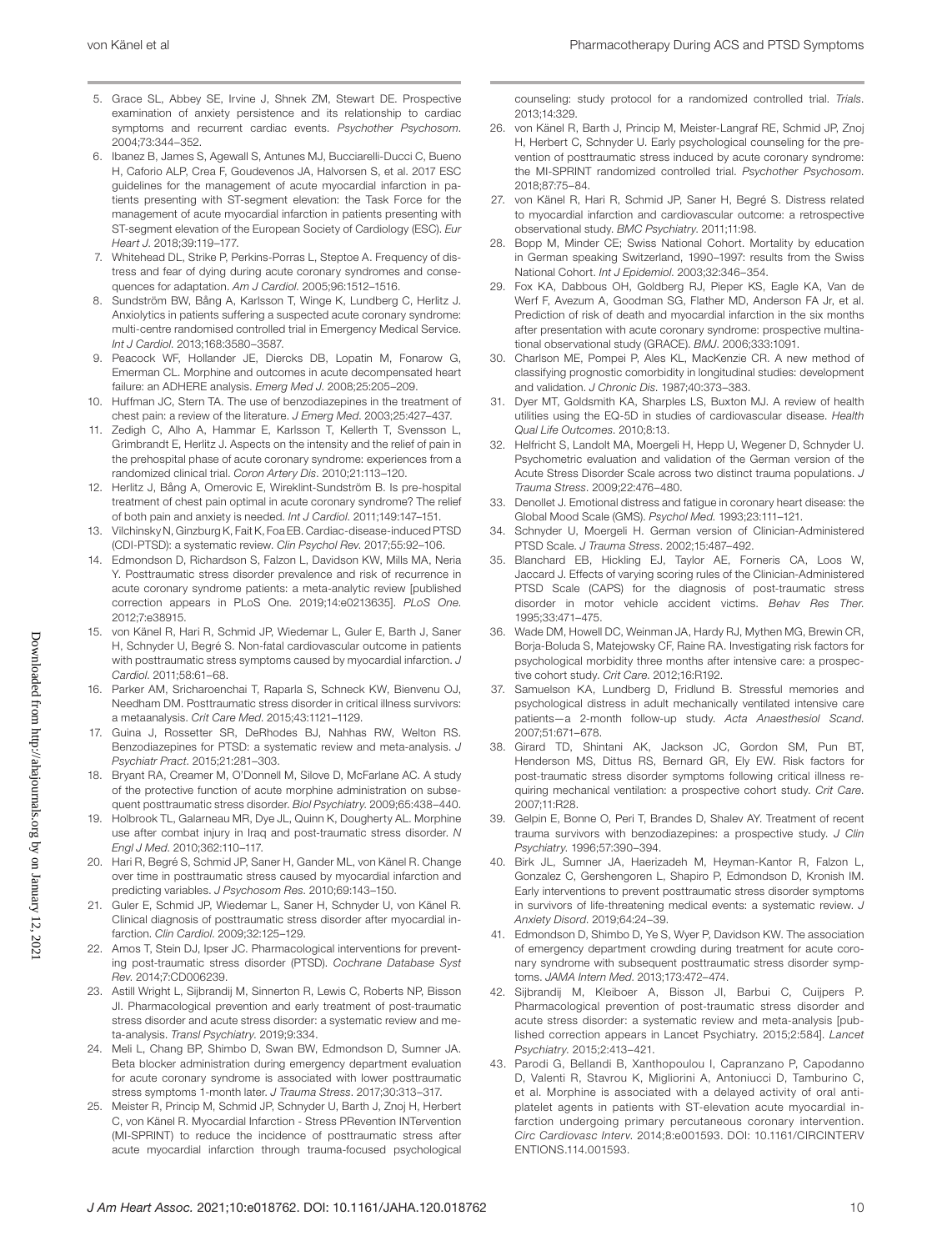- 5. Grace SL, Abbey SE, Irvine J, Shnek ZM, Stewart DE. Prospective examination of anxiety persistence and its relationship to cardiac symptoms and recurrent cardiac events. *Psychother Psychosom*. 2004;73:344–352.
- 6. Ibanez B, James S, Agewall S, Antunes MJ, Bucciarelli-Ducci C, Bueno H, Caforio ALP, Crea F, Goudevenos JA, Halvorsen S, et al. 2017 ESC guidelines for the management of acute myocardial infarction in patients presenting with ST-segment elevation: the Task Force for the management of acute myocardial infarction in patients presenting with ST-segment elevation of the European Society of Cardiology (ESC). *Eur Heart J*. 2018;39:119–177.
- 7. Whitehead DL, Strike P, Perkins-Porras L, Steptoe A. Frequency of distress and fear of dying during acute coronary syndromes and consequences for adaptation. *Am J Cardiol*. 2005;96:1512–1516.
- 8. Sundström BW, Bång A, Karlsson T, Winge K, Lundberg C, Herlitz J. Anxiolytics in patients suffering a suspected acute coronary syndrome: multi-centre randomised controlled trial in Emergency Medical Service. *Int J Cardiol*. 2013;168:3580–3587.
- 9. Peacock WF, Hollander JE, Diercks DB, Lopatin M, Fonarow G, Emerman CL. Morphine and outcomes in acute decompensated heart failure: an ADHERE analysis. *Emerg Med J*. 2008;25:205–209.
- 10. Huffman JC, Stern TA. The use of benzodiazepines in the treatment of chest pain: a review of the literature. *J Emerg Med*. 2003;25:427–437.
- 11. Zedigh C, Alho A, Hammar E, Karlsson T, Kellerth T, Svensson L, Grimbrandt E, Herlitz J. Aspects on the intensity and the relief of pain in the prehospital phase of acute coronary syndrome: experiences from a randomized clinical trial. *Coron Artery Dis*. 2010;21:113–120.
- 12. Herlitz J, Bång A, Omerovic E, Wireklint-Sundström B. Is pre-hospital treatment of chest pain optimal in acute coronary syndrome? The relief of both pain and anxiety is needed. *Int J Cardiol*. 2011;149:147–151.
- 13. Vilchinsky N, Ginzburg K, Fait K, Foa EB. Cardiac-disease-induced PTSD (CDI-PTSD): a systematic review. *Clin Psychol Rev*. 2017;55:92–106.
- 14. Edmondson D, Richardson S, Falzon L, Davidson KW, Mills MA, Neria Y. Posttraumatic stress disorder prevalence and risk of recurrence in acute coronary syndrome patients: a meta-analytic review [published correction appears in PLoS One. 2019;14:e0213635]. *PLoS One*. 2012;7:e38915.
- 15. von Känel R, Hari R, Schmid JP, Wiedemar L, Guler E, Barth J, Saner H, Schnyder U, Begré S. Non-fatal cardiovascular outcome in patients with posttraumatic stress symptoms caused by myocardial infarction. *J Cardiol*. 2011;58:61–68.
- 16. Parker AM, Sricharoenchai T, Raparla S, Schneck KW, Bienvenu OJ, Needham DM. Posttraumatic stress disorder in critical illness survivors: a metaanalysis. *Crit Care Med*. 2015;43:1121–1129.
- 17. Guina J, Rossetter SR, DeRhodes BJ, Nahhas RW, Welton RS. Benzodiazepines for PTSD: a systematic review and meta-analysis. *J Psychiatr Pract*. 2015;21:281–303.
- 18. Bryant RA, Creamer M, O'Donnell M, Silove D, McFarlane AC. A study of the protective function of acute morphine administration on subsequent posttraumatic stress disorder. *Biol Psychiatry*. 2009;65:438–440.
- 19. Holbrook TL, Galarneau MR, Dye JL, Quinn K, Dougherty AL. Morphine use after combat injury in Iraq and post-traumatic stress disorder. *N Engl J Med*. 2010;362:110–117.
- 20. Hari R, Begré S, Schmid JP, Saner H, Gander ML, von Känel R. Change over time in posttraumatic stress caused by myocardial infarction and predicting variables. *J Psychosom Res*. 2010;69:143–150.
- 21. Guler E, Schmid JP, Wiedemar L, Saner H, Schnyder U, von Känel R. Clinical diagnosis of posttraumatic stress disorder after myocardial infarction. *Clin Cardiol*. 2009;32:125–129.
- 22. Amos T, Stein DJ, Ipser JC. Pharmacological interventions for preventing post-traumatic stress disorder (PTSD). *Cochrane Database Syst Rev*. 2014;7:CD006239.
- 23. Astill Wright L, Sijbrandij M, Sinnerton R, Lewis C, Roberts NP, Bisson JI. Pharmacological prevention and early treatment of post-traumatic stress disorder and acute stress disorder: a systematic review and meta-analysis. *Transl Psychiatry*. 2019;9:334.
- 24. Meli L, Chang BP, Shimbo D, Swan BW, Edmondson D, Sumner JA. Beta blocker administration during emergency department evaluation for acute coronary syndrome is associated with lower posttraumatic stress symptoms 1-month later. *J Trauma Stress*. 2017;30:313–317.
- 25. Meister R, Princip M, Schmid JP, Schnyder U, Barth J, Znoj H, Herbert C, von Känel R. Myocardial Infarction - Stress PRevention INTervention (MI-SPRINT) to reduce the incidence of posttraumatic stress after acute myocardial infarction through trauma-focused psychological

counseling: study protocol for a randomized controlled trial. *Trials*. 2013;14:329.

- 26. von Känel R, Barth J, Princip M, Meister-Langraf RE, Schmid JP, Znoj H, Herbert C, Schnyder U. Early psychological counseling for the prevention of posttraumatic stress induced by acute coronary syndrome: the MI-SPRINT randomized controlled trial. *Psychother Psychosom*. 2018;87:75–84.
- 27. von Känel R, Hari R, Schmid JP, Saner H, Begré S. Distress related to myocardial infarction and cardiovascular outcome: a retrospective observational study. *BMC Psychiatry*. 2011;11:98.
- 28. Bopp M, Minder CE; Swiss National Cohort. Mortality by education in German speaking Switzerland, 1990–1997: results from the Swiss National Cohort. *Int J Epidemiol*. 2003;32:346–354.
- 29. Fox KA, Dabbous OH, Goldberg RJ, Pieper KS, Eagle KA, Van de Werf F, Avezum A, Goodman SG, Flather MD, Anderson FA Jr, et al. Prediction of risk of death and myocardial infarction in the six months after presentation with acute coronary syndrome: prospective multinational observational study (GRACE). *BMJ*. 2006;333:1091.
- 30. Charlson ME, Pompei P, Ales KL, MacKenzie CR. A new method of classifying prognostic comorbidity in longitudinal studies: development and validation. *J Chronic Dis*. 1987;40:373–383.
- 31. Dyer MT, Goldsmith KA, Sharples LS, Buxton MJ. A review of health utilities using the EQ-5D in studies of cardiovascular disease. *Health Qual Life Outcomes*. 2010;8:13.
- 32. Helfricht S, Landolt MA, Moergeli H, Hepp U, Wegener D, Schnyder U. Psychometric evaluation and validation of the German version of the Acute Stress Disorder Scale across two distinct trauma populations. *J Trauma Stress*. 2009;22:476–480.
- 33. Denollet J. Emotional distress and fatigue in coronary heart disease: the Global Mood Scale (GMS). *Psychol Med*. 1993;23:111–121.
- 34. Schnyder U, Moergeli H. German version of Clinician-Administered PTSD Scale. *J Trauma Stress*. 2002;15:487–492.
- 35. Blanchard EB, Hickling EJ, Taylor AE, Forneris CA, Loos W, Jaccard J. Effects of varying scoring rules of the Clinician-Administered PTSD Scale (CAPS) for the diagnosis of post-traumatic stress disorder in motor vehicle accident victims. *Behav Res Ther*. 1995;33:471–475.
- 36. Wade DM, Howell DC, Weinman JA, Hardy RJ, Mythen MG, Brewin CR, Borja-Boluda S, Matejowsky CF, Raine RA. Investigating risk factors for psychological morbidity three months after intensive care: a prospective cohort study. *Crit Care*. 2012;16:R192.
- 37. Samuelson KA, Lundberg D, Fridlund B. Stressful memories and psychological distress in adult mechanically ventilated intensive care patients—a 2-month follow-up study. *Acta Anaesthesiol Scand*. 2007;51:671–678.
- 38. Girard TD, Shintani AK, Jackson JC, Gordon SM, Pun BT, Henderson MS, Dittus RS, Bernard GR, Ely EW. Risk factors for post-traumatic stress disorder symptoms following critical illness requiring mechanical ventilation: a prospective cohort study. *Crit Care*. 2007;11:R28.
- 39. Gelpin E, Bonne O, Peri T, Brandes D, Shalev AY. Treatment of recent trauma survivors with benzodiazepines: a prospective study. *J Clin Psychiatry*. 1996;57:390–394.
- 40. Birk JL, Sumner JA, Haerizadeh M, Heyman-Kantor R, Falzon L, Gonzalez C, Gershengoren L, Shapiro P, Edmondson D, Kronish IM. Early interventions to prevent posttraumatic stress disorder symptoms in survivors of life-threatening medical events: a systematic review. *J Anxiety Disord*. 2019;64:24–39.
- 41. Edmondson D, Shimbo D, Ye S, Wyer P, Davidson KW. The association of emergency department crowding during treatment for acute coronary syndrome with subsequent posttraumatic stress disorder symptoms. *JAMA Intern Med*. 2013;173:472–474.
- Sijbrandij M, Kleiboer A, Bisson Jl, Barbui C, Cuijpers P. Pharmacological prevention of post-traumatic stress disorder and acute stress disorder: a systematic review and meta-analysis [published correction appears in Lancet Psychiatry. 2015;2:584]. *Lancet Psychiatry*. 2015;2:413–421.
- 43. Parodi G, Bellandi B, Xanthopoulou I, Capranzano P, Capodanno D, Valenti R, Stavrou K, Migliorini A, Antoniucci D, Tamburino C, et al. Morphine is associated with a delayed activity of oral antiplatelet agents in patients with ST-elevation acute myocardial infarction undergoing primary percutaneous coronary intervention. *Circ Cardiovasc Interv*. 2014;8:e001593. DOI: [10.1161/CIRCINTERV](https://doi.org/10.1161/CIRCINTERVENTIONS.114.001593) [ENTIONS.114.001593](https://doi.org/10.1161/CIRCINTERVENTIONS.114.001593).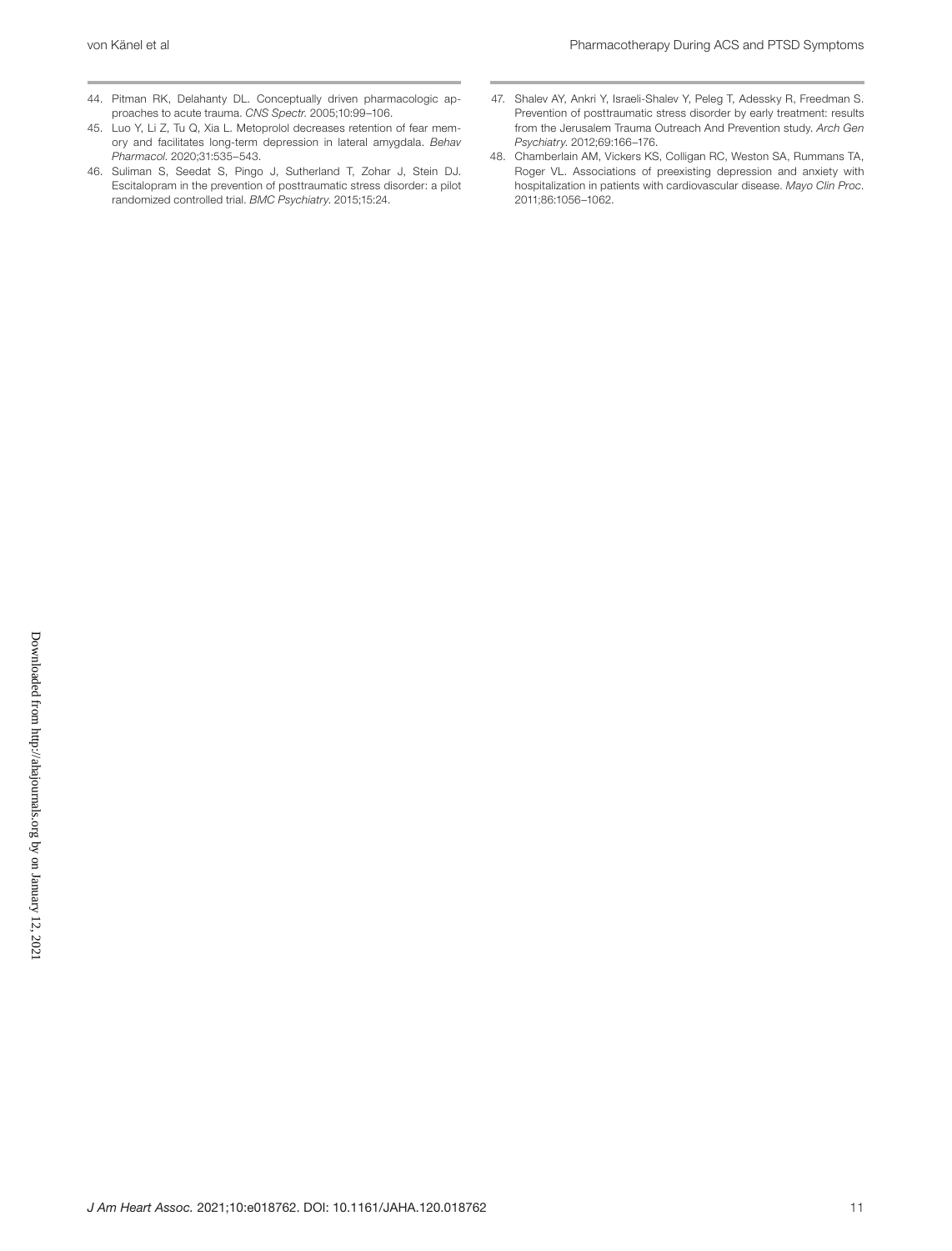- 44. Pitman RK, Delahanty DL. Conceptually driven pharmacologic approaches to acute trauma. *CNS Spectr*. 2005;10:99–106.
- 45. Luo Y, Li Z, Tu Q, Xia L. Metoprolol decreases retention of fear memory and facilitates long-term depression in lateral amygdala. *Behav Pharmacol*. 2020;31:535–543.
- 46. Suliman S, Seedat S, Pingo J, Sutherland T, Zohar J, Stein DJ. Escitalopram in the prevention of posttraumatic stress disorder: a pilot randomized controlled trial. *BMC Psychiatry*. 2015;15:24.
- 47. Shalev AY, Ankri Y, Israeli-Shalev Y, Peleg T, Adessky R, Freedman S. Prevention of posttraumatic stress disorder by early treatment: results from the Jerusalem Trauma Outreach And Prevention study. *Arch Gen Psychiatry*. 2012;69:166–176.
- 48. Chamberlain AM, Vickers KS, Colligan RC, Weston SA, Rummans TA, Roger VL. Associations of preexisting depression and anxiety with hospitalization in patients with cardiovascular disease. *Mayo Clin Proc*. 2011;86:1056–1062.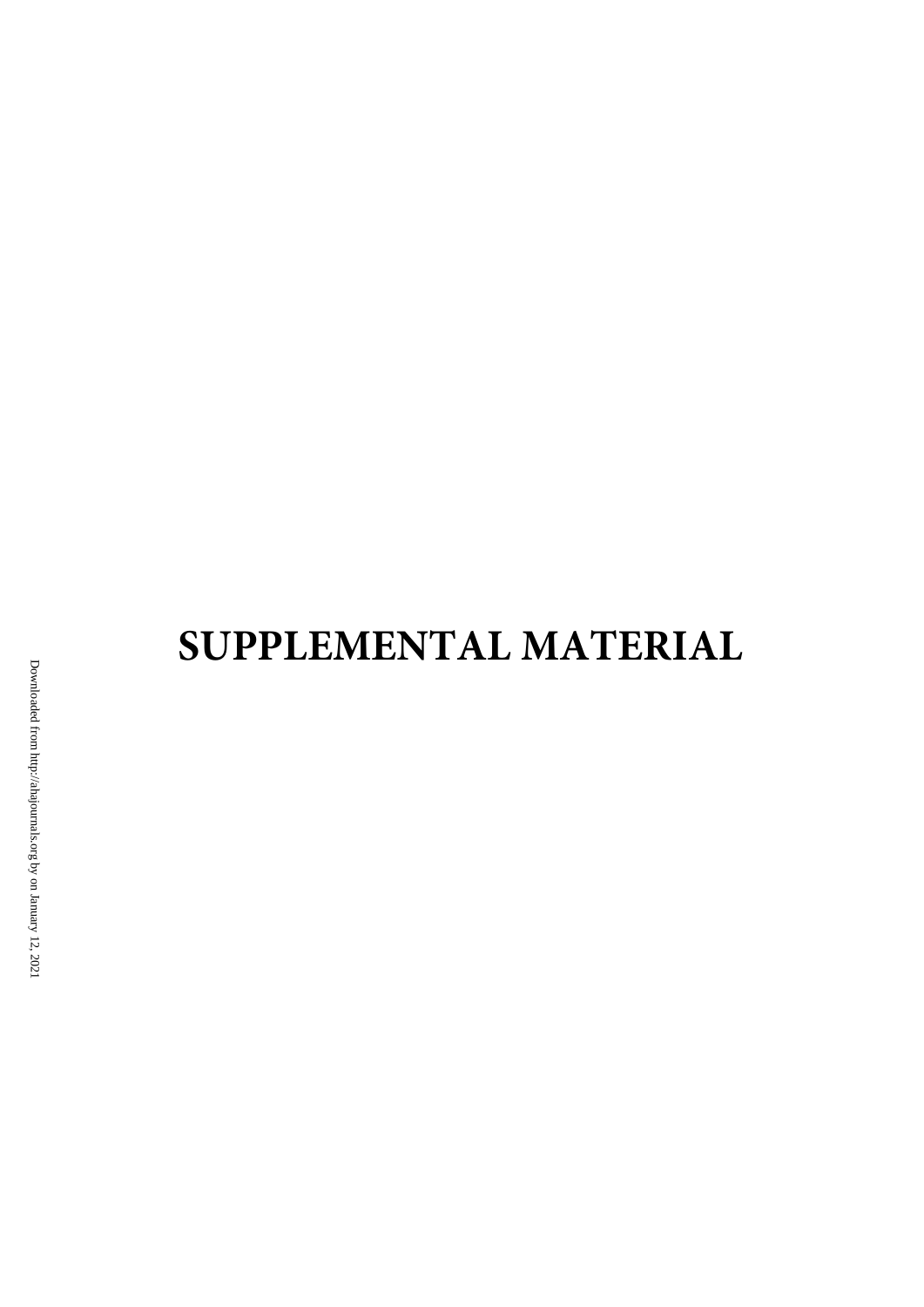# **SUPPLEMENTAL MATERIAL**